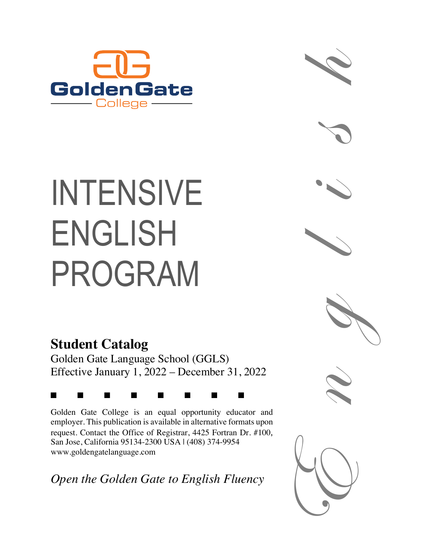

# INTENSIVE ENGLISH PROGRAM

# **Student Catalog**

Golden Gate Language School (GGLS) Effective January 1, 2022 – December 31, 2022

### g g g g g g g g

Golden Gate College is an equal opportunity educator and employer. This publication is available in alternative formats upon request. Contact the Office of Registrar, 4425 Fortran Dr. #100, San Jose, California 95134-2300 USA | (408) 374-9954 www.goldengatelanguage.com

*Open the Golden Gate to English Fluency*









h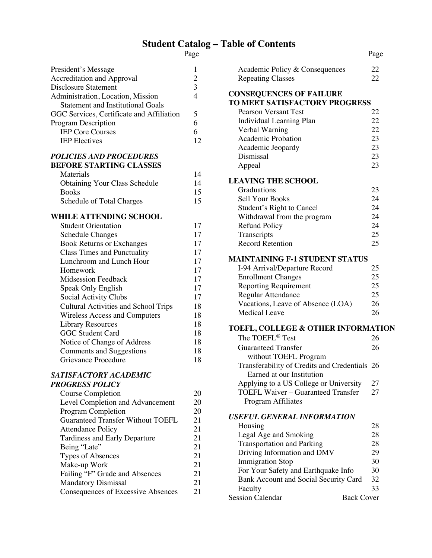## **Student Catalog – Table of Contents**

| I |  |
|---|--|
|   |  |

| President's Message<br><b>Accreditation and Approval</b><br><b>Disclosure Statement</b><br>Administration, Location, Mission<br><b>Statement and Institutional Goals</b><br>GGC Services, Certificate and Affiliation<br>Program Description<br><b>IEP Core Courses</b><br><b>IEP</b> Electives                                                                                                                                                                                                                              | 1<br>$\overline{c}$<br>3<br>$\overline{4}$<br>5<br>6<br>6<br>12                              |
|------------------------------------------------------------------------------------------------------------------------------------------------------------------------------------------------------------------------------------------------------------------------------------------------------------------------------------------------------------------------------------------------------------------------------------------------------------------------------------------------------------------------------|----------------------------------------------------------------------------------------------|
| <b>POLICIES AND PROCEDURES</b><br><b>BEFORE STARTING CLASSES</b><br>Materials<br><b>Obtaining Your Class Schedule</b><br><b>Books</b><br>Schedule of Total Charges                                                                                                                                                                                                                                                                                                                                                           | 14<br>14<br>15<br>15                                                                         |
| <b>WHILE ATTENDING SCHOOL</b><br><b>Student Orientation</b><br><b>Schedule Changes</b><br><b>Book Returns or Exchanges</b><br><b>Class Times and Punctuality</b><br>Lunchroom and Lunch Hour<br>Homework<br><b>Midsession Feedback</b><br>Speak Only English<br>Social Activity Clubs<br><b>Cultural Activities and School Trips</b><br><b>Wireless Access and Computers</b><br><b>Library Resources</b><br><b>GGC Student Card</b><br>Notice of Change of Address<br><b>Comments and Suggestions</b><br>Grievance Procedure | 17<br>17<br>17<br>17<br>17<br>17<br>17<br>17<br>17<br>18<br>18<br>18<br>18<br>18<br>18<br>18 |
| SATISFACTORY ACADEMIC<br><b>PROGRESS POLICY</b><br>Course Completion<br>Level Completion and Advancement<br><b>Program Completion</b><br><b>Guaranteed Transfer Without TOEFL</b><br><b>Attendance Policy</b><br><b>Tardiness and Early Departure</b><br>Being "Late"<br>Types of Absences<br>Make-up Work<br>Failing "F" Grade and Absences<br><b>Mandatory Dismissal</b><br><b>Consequences of Excessive Absences</b>                                                                                                      | 20<br>20<br>20<br>21<br>21<br>21<br>21<br>21<br>21<br>21<br>21<br>21                         |

|                                                                            | Page              |
|----------------------------------------------------------------------------|-------------------|
| Academic Policy & Consequences                                             | 22                |
| <b>Repeating Classes</b>                                                   | 22                |
| <b>CONSEQUENCES OF FAILURE</b><br>TO MEET SATISFACTORY PROGRESS            |                   |
| <b>Pearson Versant Test</b>                                                | 22                |
| <b>Individual Learning Plan</b>                                            | 22                |
| Verbal Warning                                                             | 22                |
| Academic Probation                                                         | 23                |
| Academic Jeopardy                                                          | 23                |
| Dismissal                                                                  | 23                |
| Appeal                                                                     | 23                |
| <b>LEAVING THE SCHOOL</b>                                                  |                   |
| Graduations                                                                | 23                |
| <b>Sell Your Books</b>                                                     | 24                |
| Student's Right to Cancel                                                  | 24                |
| Withdrawal from the program                                                | 24                |
| <b>Refund Policy</b>                                                       | 24                |
| Transcripts                                                                | 25                |
| <b>Record Retention</b>                                                    | 25                |
| <b>MAINTAINING F-1 STUDENT STATUS</b>                                      |                   |
| I-94 Arrival/Departure Record                                              | 25                |
| <b>Enrollment Changes</b>                                                  | 25                |
| <b>Reporting Requirement</b>                                               | 25                |
| Regular Attendance                                                         | 25                |
| Vacations, Leave of Absence (LOA)                                          | 26                |
| <b>Medical Leave</b>                                                       | 26                |
| <b>TOEFL, COLLEGE &amp; OTHER INFORMATION</b>                              |                   |
| The TOEFL® Test                                                            | 26                |
| <b>Guaranteed Transfer</b><br>without TOEFL Program                        | 26                |
| Transferability of Credits and Credentials 26<br>Earned at our Institution |                   |
| Applying to a US College or University                                     | 27                |
| <b>TOEFL Waiver - Guaranteed Transfer</b>                                  | 27                |
| Program Affiliates                                                         |                   |
| <b>USEFUL GENERAL INFORMATION</b>                                          |                   |
| Housing                                                                    | 28                |
| Legal Age and Smoking                                                      | 28                |
| <b>Transportation and Parking</b>                                          | 28                |
| Driving Information and DMV                                                | 29                |
| <b>Immigration Stop</b>                                                    | 30                |
| For Your Safety and Earthquake Info                                        | 30                |
| Bank Account and Social Security Card                                      | 32                |
| Faculty                                                                    | 33                |
| <b>Session Calendar</b>                                                    | <b>Back Cover</b> |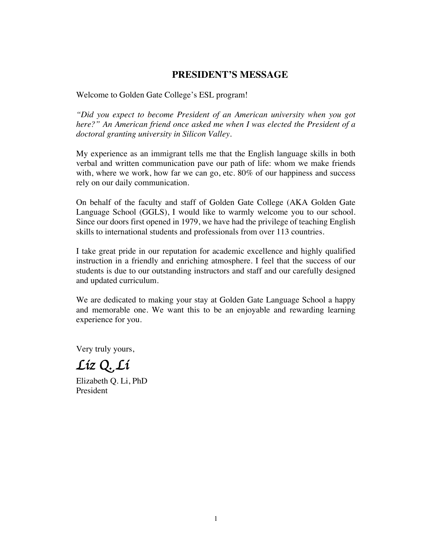### **PRESIDENT'S MESSAGE**

Welcome to Golden Gate College's ESL program!

*"Did you expect to become President of an American university when you got here?" An American friend once asked me when I was elected the President of a doctoral granting university in Silicon Valley.*

My experience as an immigrant tells me that the English language skills in both verbal and written communication pave our path of life: whom we make friends with, where we work, how far we can go, etc. 80% of our happiness and success rely on our daily communication.

On behalf of the faculty and staff of Golden Gate College (AKA Golden Gate Language School (GGLS), I would like to warmly welcome you to our school. Since our doors first opened in 1979, we have had the privilege of teaching English skills to international students and professionals from over 113 countries.

I take great pride in our reputation for academic excellence and highly qualified instruction in a friendly and enriching atmosphere. I feel that the success of our students is due to our outstanding instructors and staff and our carefully designed and updated curriculum.

We are dedicated to making your stay at Golden Gate Language School a happy and memorable one. We want this to be an enjoyable and rewarding learning experience for you.

Very truly yours,

*Liz Q. Li* 

Elizabeth Q. Li, PhD President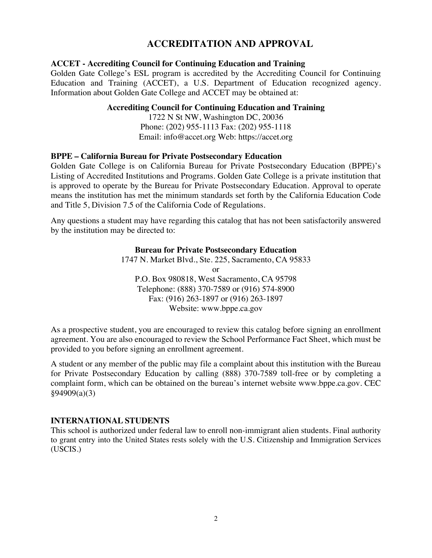### **ACCREDITATION AND APPROVAL**

### **ACCET - Accrediting Council for Continuing Education and Training**

Golden Gate College's ESL program is accredited by the Accrediting Council for Continuing Education and Training (ACCET), a U.S. Department of Education recognized agency. Information about Golden Gate College and ACCET may be obtained at:

### **Accrediting Council for Continuing Education and Training**

1722 N St NW, Washington DC, 20036 Phone: (202) 955-1113 Fax: (202) 955-1118 Email: info@accet.org Web: https://accet.org

### **BPPE – California Bureau for Private Postsecondary Education**

Golden Gate College is on California Bureau for Private Postsecondary Education (BPPE)'s Listing of Accredited Institutions and Programs. Golden Gate College is a private institution that is approved to operate by the Bureau for Private Postsecondary Education. Approval to operate means the institution has met the minimum standards set forth by the California Education Code and Title 5, Division 7.5 of the California Code of Regulations.

Any questions a student may have regarding this catalog that has not been satisfactorily answered by the institution may be directed to:

### **Bureau for Private Postsecondary Education**

1747 N. Market Blvd., Ste. 225, Sacramento, CA 95833 or P.O. Box 980818, West Sacramento, CA 95798 Telephone: (888) 370-7589 or (916) 574-8900 Fax: (916) 263-1897 or (916) 263-1897 Website: www.bppe.ca.gov

As a prospective student, you are encouraged to review this catalog before signing an enrollment agreement. You are also encouraged to review the School Performance Fact Sheet, which must be provided to you before signing an enrollment agreement.

A student or any member of the public may file a complaint about this institution with the Bureau for Private Postsecondary Education by calling (888) 370-7589 toll-free or by completing a complaint form, which can be obtained on the bureau's internet website www.bppe.ca.gov. CEC §94909(a)(3)

### **INTERNATIONAL STUDENTS**

This school is authorized under federal law to enroll non-immigrant alien students. Final authority to grant entry into the United States rests solely with the U.S. Citizenship and Immigration Services (USCIS.)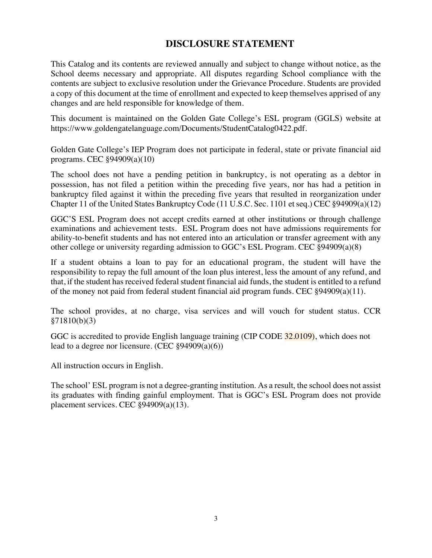### **DISCLOSURE STATEMENT**

This Catalog and its contents are reviewed annually and subject to change without notice, as the School deems necessary and appropriate. All disputes regarding School compliance with the contents are subject to exclusive resolution under the Grievance Procedure. Students are provided a copy of this document at the time of enrollment and expected to keep themselves apprised of any changes and are held responsible for knowledge of them.

This document is maintained on the Golden Gate College's ESL program (GGLS) website at https://www.goldengatelanguage.com/Documents/StudentCatalog0422.pdf.

Golden Gate College's IEP Program does not participate in federal, state or private financial aid programs. CEC §94909(a)(10)

The school does not have a pending petition in bankruptcy, is not operating as a debtor in possession, has not filed a petition within the preceding five years, nor has had a petition in bankruptcy filed against it within the preceding five years that resulted in reorganization under Chapter 11 of the United States Bankruptcy Code (11 U.S.C. Sec. 1101 et seq.) CEC §94909(a)(12)

GGC'S ESL Program does not accept credits earned at other institutions or through challenge examinations and achievement tests. ESL Program does not have admissions requirements for ability-to-benefit students and has not entered into an articulation or transfer agreement with any other college or university regarding admission to GGC's ESL Program. CEC §94909(a)(8)

If a student obtains a loan to pay for an educational program, the student will have the responsibility to repay the full amount of the loan plus interest, less the amount of any refund, and that, if the student has received federal student financial aid funds, the student is entitled to a refund of the money not paid from federal student financial aid program funds. CEC §94909(a)(11).

The school provides, at no charge, visa services and will vouch for student status. CCR §71810(b)(3)

GGC is accredited to provide English language training (CIP CODE 32.0109), which does not lead to a degree nor licensure. (CEC §94909(a)(6))

All instruction occurs in English.

The school' ESL program is not a degree-granting institution. As a result, the school does not assist its graduates with finding gainful employment. That is GGC's ESL Program does not provide placement services. CEC §94909(a)(13).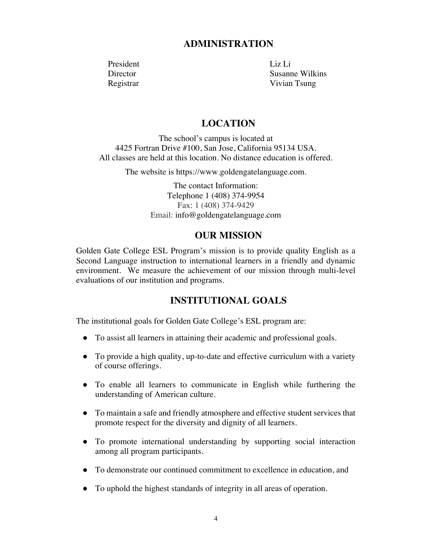### **ADMINISTRATION**

President Liz Li

Director Susanne Wilkins Registrar Vivian Tsung

### **LOCATION**

The school's campus is located at 4425 Fortran Drive #100, San Jose, California 95134 USA. All classes are held at this location. No distance education is offered.

The website is https://www.goldengatelanguage.com.

The contact Information: Telephone 1 (408) 374-9954 Fax: 1 (408) 374-9429 Email: info@goldengatelanguage.com

### **OUR MISSION**

Golden Gate College ESL Program's mission is to provide quality English as a Second Language instruction to international learners in a friendly and dynamic environment. We measure the achievement of our mission through multi-level evaluations of our institution and programs.

### **INSTITUTIONAL GOALS**

The institutional goals for Golden Gate College's ESL program are:

- To assist all learners in attaining their academic and professional goals.
- To provide a high quality, up-to-date and effective curriculum with a variety of course offerings.
- To enable all learners to communicate in English while furthering the understanding of American culture.
- To maintain a safe and friendly atmosphere and effective student services that promote respect for the diversity and dignity of all learners.
- To promote international understanding by supporting social interaction among all program participants.
- To demonstrate our continued commitment to excellence in education, and
- To uphold the highest standards of integrity in all areas of operation.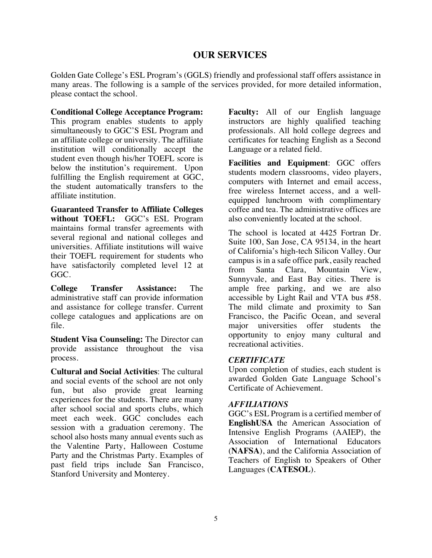### **OUR SERVICES**

Golden Gate College's ESL Program's (GGLS) friendly and professional staff offers assistance in many areas. The following is a sample of the services provided, for more detailed information, please contact the school.

### **Conditional College Acceptance Program:**

This program enables students to apply simultaneously to GGC'S ESL Program and an affiliate college or university. The affiliate institution will conditionally accept the student even though his/her TOEFL score is below the institution's requirement. Upon fulfilling the English requirement at GGC, the student automatically transfers to the affiliate institution.

**Guaranteed Transfer to Affiliate Colleges without TOEFL:** GGC's ESL Program maintains formal transfer agreements with several regional and national colleges and universities. Affiliate institutions will waive their TOEFL requirement for students who have satisfactorily completed level 12 at GGC.

**College Transfer Assistance:** The administrative staff can provide information and assistance for college transfer. Current college catalogues and applications are on file.

**Student Visa Counseling:** The Director can provide assistance throughout the visa process.

**Cultural and Social Activities**: The cultural and social events of the school are not only fun, but also provide great learning experiences for the students. There are many after school social and sports clubs, which meet each week. GGC concludes each session with a graduation ceremony. The school also hosts many annual events such as the Valentine Party, Halloween Costume Party and the Christmas Party. Examples of past field trips include San Francisco, Stanford University and Monterey.

**Faculty:** All of our English language instructors are highly qualified teaching professionals. All hold college degrees and certificates for teaching English as a Second Language or a related field.

**Facilities and Equipment**: GGC offers students modern classrooms, video players, computers with Internet and email access, free wireless Internet access, and a wellequipped lunchroom with complimentary coffee and tea. The administrative offices are also conveniently located at the school.

The school is located at 4425 Fortran Dr. Suite 100, San Jose, CA 95134, in the heart of California's high-tech Silicon Valley. Our campus is in a safe office park, easily reached from Santa Clara, Mountain View, Sunnyvale, and East Bay cities. There is ample free parking, and we are also accessible by Light Rail and VTA bus #58. The mild climate and proximity to San Francisco, the Pacific Ocean, and several major universities offer students the opportunity to enjoy many cultural and recreational activities.

### *CERTIFICATE*

Upon completion of studies, each student is awarded Golden Gate Language School's Certificate of Achievement.

### *AFFILIATIONS*

GGC's ESL Program is a certified member of **EnglishUSA** the American Association of Intensive English Programs (AAIEP), the Association of International Educators (**NAFSA**), and the California Association of Teachers of English to Speakers of Other Languages (**CATESOL**).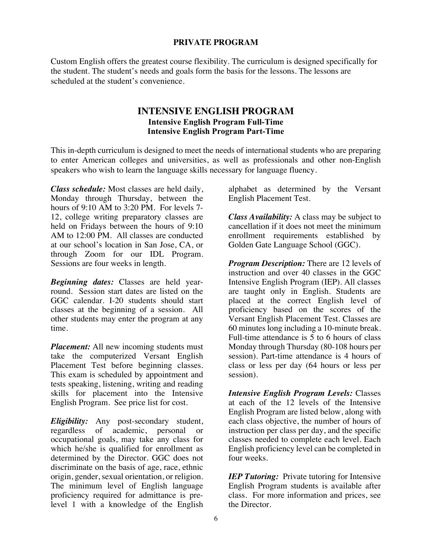### **PRIVATE PROGRAM**

Custom English offers the greatest course flexibility. The curriculum is designed specifically for the student. The student's needs and goals form the basis for the lessons. The lessons are scheduled at the student's convenience.

### **INTENSIVE ENGLISH PROGRAM Intensive English Program Full-Time Intensive English Program Part-Time**

This in-depth curriculum is designed to meet the needs of international students who are preparing to enter American colleges and universities, as well as professionals and other non-English speakers who wish to learn the language skills necessary for language fluency.

*Class schedule:* Most classes are held daily, Monday through Thursday, between the hours of 9:10 AM to 3:20 PM. For levels 7- 12, college writing preparatory classes are held on Fridays between the hours of 9:10 AM to 12:00 PM. All classes are conducted at our school's location in San Jose, CA, or through Zoom for our IDL Program. Sessions are four weeks in length.

*Beginning dates:* Classes are held yearround. Session start dates are listed on the GGC calendar. I-20 students should start classes at the beginning of a session. All other students may enter the program at any time.

*Placement:* All new incoming students must take the computerized Versant English Placement Test before beginning classes. This exam is scheduled by appointment and tests speaking, listening, writing and reading skills for placement into the Intensive English Program. See price list for cost.

*Eligibility:* Any post-secondary student, regardless of academic, personal or occupational goals, may take any class for which he/she is qualified for enrollment as determined by the Director. GGC does not discriminate on the basis of age, race, ethnic origin, gender, sexual orientation, or religion. The minimum level of English language proficiency required for admittance is prelevel 1 with a knowledge of the English

alphabet as determined by the Versant English Placement Test.

*Class Availability:* A class may be subject to cancellation if it does not meet the minimum enrollment requirements established by Golden Gate Language School (GGC).

*Program Description:* There are 12 levels of instruction and over 40 classes in the GGC Intensive English Program (IEP). All classes are taught only in English. Students are placed at the correct English level of proficiency based on the scores of the Versant English Placement Test. Classes are 60 minutes long including a 10-minute break. Full-time attendance is 5 to 6 hours of class Monday through Thursday (80-108 hours per session). Part-time attendance is 4 hours of class or less per day (64 hours or less per session).

*Intensive English Program Levels:* Classes at each of the 12 levels of the Intensive English Program are listed below, along with each class objective, the number of hours of instruction per class per day, and the specific classes needed to complete each level. Each English proficiency level can be completed in four weeks.

*IEP Tutoring:* Private tutoring for Intensive English Program students is available after class. For more information and prices, see the Director.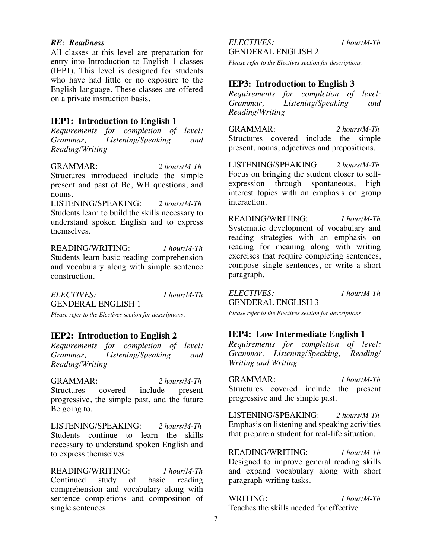### *RE: Readiness*

All classes at this level are preparation for entry into Introduction to English 1 classes (IEP1). This level is designed for students who have had little or no exposure to the English language. These classes are offered on a private instruction basis.

### **IEP1: Introduction to English 1**

*Requirements for completion of level: Grammar, Listening/Speaking and Reading/Writing*

GRAMMAR: *2 hours/M-Th* Structures introduced include the simple present and past of Be, WH questions, and nouns.

LISTENING/SPEAKING: *2 hours/M-Th* Students learn to build the skills necessary to understand spoken English and to express themselves.

READING/WRITING: *1 hour/M-Th* Students learn basic reading comprehension and vocabulary along with simple sentence construction.

*ELECTIVES: 1 hour/M-Th* GENDERAL ENGLISH 1

*Please refer to the Electives section for descriptions.*

### **IEP2: Introduction to English 2**

*Requirements for completion of level: Grammar, Listening/Speaking and Reading/Writing*

GRAMMAR: *2 hours/M-Th* Structures covered include present progressive, the simple past, and the future Be going to.

LISTENING/SPEAKING: *2 hours/M-Th* Students continue to learn the skills necessary to understand spoken English and to express themselves.

READING/WRITING: *1 hour/M-Th* Continued study of basic reading comprehension and vocabulary along with sentence completions and composition of single sentences.

*ELECTIVES: 1 hour/M-Th* GENDERAL ENGLISH 2

*Please refer to the Electives section for descriptions.*

### **IEP3: Introduction to English 3**

*Requirements for completion of level: Grammar, Listening/Speaking and Reading/Writing*

GRAMMAR: *2 hours/M-Th* Structures covered include the simple present, nouns, adjectives and prepositions.

LISTENING/SPEAKING *2 hours/M-Th* Focus on bringing the student closer to selfexpression through spontaneous, high interest topics with an emphasis on group interaction.

READING/WRITING: *1 hour/M-Th* Systematic development of vocabulary and reading strategies with an emphasis on reading for meaning along with writing exercises that require completing sentences, compose single sentences, or write a short paragraph.

*ELECTIVES: 1 hour/M-Th* GENDERAL ENGLISH 3

*Please refer to the Electives section for descriptions.*

### **IEP4: Low Intermediate English 1**

*Requirements for completion of level: Grammar, Listening/Speaking, Reading/ Writing and Writing* 

GRAMMAR: *1 hour/M-Th* Structures covered include the present progressive and the simple past.

LISTENING/SPEAKING: *2 hours/M-Th* Emphasis on listening and speaking activities that prepare a student for real-life situation.

READING/WRITING: *1 hour/M-Th* Designed to improve general reading skills and expand vocabulary along with short paragraph-writing tasks.

WRITING: *1 hour/M-Th* Teaches the skills needed for effective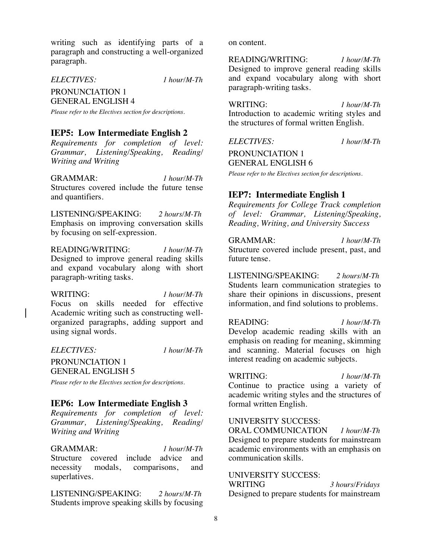writing such as identifying parts of a paragraph and constructing a well-organized paragraph.

*ELECTIVES: 1 hour/M-Th*

PRONUNCIATION 1 GENERAL ENGLISH 4

*Please refer to the Electives section for descriptions.*

### **IEP5: Low Intermediate English 2**

*Requirements for completion of level: Grammar, Listening/Speaking, Reading/ Writing and Writing*

GRAMMAR: *1 hour/M-Th* Structures covered include the future tense and quantifiers.

LISTENING/SPEAKING: *2 hours/M-Th* Emphasis on improving conversation skills by focusing on self-expression.

READING/WRITING: *1 hour/M-Th* Designed to improve general reading skills and expand vocabulary along with short paragraph-writing tasks.

WRITING: *1 hour/M-Th* Focus on skills needed for effective Academic writing such as constructing wellorganized paragraphs, adding support and using signal words.

*ELECTIVES: 1 hour/M-Th*

PRONUNCIATION 1 GENERAL ENGLISH 5

*Please refer to the Electives section for descriptions.*

### **IEP6: Low Intermediate English 3**

*Requirements for completion of level: Grammar, Listening/Speaking, Reading/ Writing and Writing*

GRAMMAR: *1 hour/M-Th* Structure covered include advice and necessity modals, comparisons, and superlatives.

LISTENING/SPEAKING: *2 hours/M-Th* Students improve speaking skills by focusing on content.

READING/WRITING: *1 hour/M-Th* Designed to improve general reading skills and expand vocabulary along with short paragraph-writing tasks.

WRITING: *1 hour/M-Th* Introduction to academic writing styles and the structures of formal written English.

*ELECTIVES: 1 hour/M-Th*

PRONUNCIATION 1 GENERAL ENGLISH 6

*Please refer to the Electives section for descriptions.*

### **IEP7: Intermediate English 1**

*Requirements for College Track completion of level: Grammar, Listening/Speaking, Reading, Writing, and University Success* 

GRAMMAR: *1 hour/M-Th* Structure covered include present, past, and future tense.

LISTENING/SPEAKING: *2 hours/M-Th* Students learn communication strategies to share their opinions in discussions, present information, and find solutions to problems.

READING: *1 hour/M-Th* Develop academic reading skills with an emphasis on reading for meaning, skimming and scanning. Material focuses on high interest reading on academic subjects.

WRITING: *1 hour/M-Th*

Continue to practice using a variety of academic writing styles and the structures of formal written English.

### UNIVERSITY SUCCESS:

ORAL COMMUNICATION *1 hour/M-Th* Designed to prepare students for mainstream academic environments with an emphasis on communication skills.

UNIVERSITY SUCCESS:

WRITING *3 hours/Fridays* Designed to prepare students for mainstream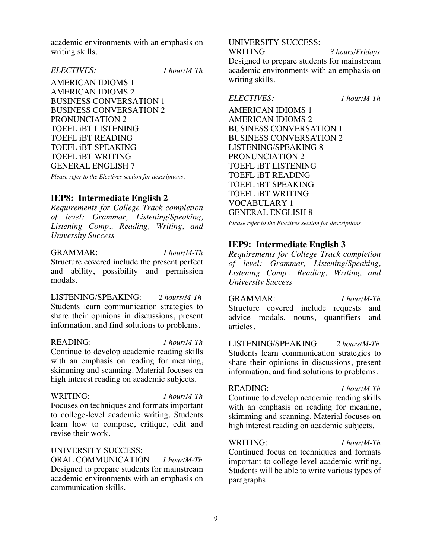academic environments with an emphasis on writing skills.

### *ELECTIVES: 1 hour/M-Th*

AMERICAN IDIOMS 1 AMERICAN IDIOMS 2 BUSINESS CONVERSATION 1 BUSINESS CONVERSATION 2 PRONUNCIATION 2 TOEFL iBT LISTENING TOEFL iBT READING TOEFL iBT SPEAKING TOEFL iBT WRITING GENERAL ENGLISH 7

*Please refer to the Electives section for descriptions.*

### **IEP8: Intermediate English 2**

*Requirements for College Track completion of level: Grammar, Listening/Speaking, Listening Comp., Reading, Writing, and University Success*

### GRAMMAR: *1 hour/M-Th*

Structure covered include the present perfect and ability, possibility and permission modals.

LISTENING/SPEAKING: *2 hours/M-Th* Students learn communication strategies to share their opinions in discussions, present information, and find solutions to problems.

#### READING: *1 hour/M-Th*

Continue to develop academic reading skills with an emphasis on reading for meaning, skimming and scanning. Material focuses on high interest reading on academic subjects.

WRITING: *1 hour/M-Th* Focuses on techniques and formats important to college-level academic writing. Students learn how to compose, critique, edit and revise their work.

### UNIVERSITY SUCCESS:

ORAL COMMUNICATION *1 hour/M-Th* Designed to prepare students for mainstream academic environments with an emphasis on communication skills.

### UNIVERSITY SUCCESS:

WRITING *3 hours/Fridays* Designed to prepare students for mainstream academic environments with an emphasis on writing skills.

#### *ELECTIVES: 1 hour/M-Th*

AMERICAN IDIOMS 1 AMERICAN IDIOMS 2 BUSINESS CONVERSATION 1 BUSINESS CONVERSATION 2 LISTENING/SPEAKING 8 PRONUNCIATION 2 TOEFL iBT LISTENING TOEFL iBT READING TOEFL iBT SPEAKING TOEFL iBT WRITING VOCABULARY 1 GENERAL ENGLISH 8

*Please refer to the Electives section for descriptions.*

### **IEP9: Intermediate English 3**

*Requirements for College Track completion of level: Grammar, Listening/Speaking, Listening Comp., Reading, Writing, and University Success*

GRAMMAR: *1 hour/M-Th* Structure covered include requests and advice modals, nouns, quantifiers and articles.

LISTENING/SPEAKING: *2 hours/M-Th* Students learn communication strategies to share their opinions in discussions, present information, and find solutions to problems.

READING: *1 hour/M-Th*

Continue to develop academic reading skills with an emphasis on reading for meaning, skimming and scanning. Material focuses on high interest reading on academic subjects.

#### WRITING:*1 hour/M-Th*

Continued focus on techniques and formats important to college-level academic writing. Students will be able to write various types of paragraphs.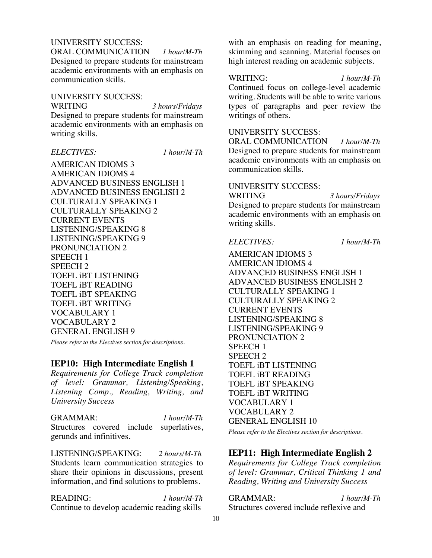### UNIVERSITY SUCCESS:

ORAL COMMUNICATION *1 hour/M-Th* Designed to prepare students for mainstream academic environments with an emphasis on communication skills.

#### UNIVERSITY SUCCESS:

WRITING *3 hours/Fridays*

Designed to prepare students for mainstream academic environments with an emphasis on writing skills.

### *ELECTIVES: 1 hour/M-Th*

AMERICAN IDIOMS 3 AMERICAN IDIOMS 4 ADVANCED BUSINESS ENGLISH 1 ADVANCED BUSINESS ENGLISH 2 CULTURALLY SPEAKING 1 CULTURALLY SPEAKING 2 CURRENT EVENTS LISTENING/SPEAKING 8 LISTENING/SPEAKING 9 PRONUNCIATION 2 SPEECH 1 SPEECH 2 TOEFL iBT LISTENING TOEFL iBT READING TOEFL iBT SPEAKING TOEFL iBT WRITING VOCABULARY 1 VOCABULARY 2 GENERAL ENGLISH 9

*Please refer to the Electives section for descriptions.*

### **IEP10: High Intermediate English 1**

*Requirements for College Track completion of level: Grammar, Listening/Speaking, Listening Comp., Reading, Writing, and University Success*

### GRAMMAR: *1 hour/M-Th*

Structures covered include superlatives, gerunds and infinitives.

LISTENING/SPEAKING: *2 hours/M-Th* Students learn communication strategies to share their opinions in discussions, present information, and find solutions to problems.

READING: *1 hour/M-Th* Continue to develop academic reading skills

with an emphasis on reading for meaning, skimming and scanning. Material focuses on high interest reading on academic subjects.

#### WRITING:*1 hour/M-Th*

Continued focus on college-level academic writing. Students will be able to write various types of paragraphs and peer review the writings of others.

### UNIVERSITY SUCCESS:

ORAL COMMUNICATION *1 hour/M-Th* Designed to prepare students for mainstream academic environments with an emphasis on communication skills.

### UNIVERSITY SUCCESS:

WRITING *3 hours/Fridays* Designed to prepare students for mainstream academic environments with an emphasis on writing skills.

*ELECTIVES: 1 hour/M-Th*

AMERICAN IDIOMS 3 AMERICAN IDIOMS 4 ADVANCED BUSINESS ENGLISH 1 ADVANCED BUSINESS ENGLISH 2 CULTURALLY SPEAKING 1 CULTURALLY SPEAKING 2 CURRENT EVENTS LISTENING/SPEAKING 8 LISTENING/SPEAKING 9 PRONUNCIATION 2 SPEECH 1 SPEECH 2 TOEFL iBT LISTENING TOEFL iBT READING TOEFL iBT SPEAKING TOEFL iBT WRITING VOCABULARY 1 VOCABULARY 2 GENERAL ENGLISH 10

*Please refer to the Electives section for descriptions.*

### **IEP11: High Intermediate English 2**

*Requirements for College Track completion of level: Grammar, Critical Thinking 1 and Reading, Writing and University Success*

GRAMMAR: *1 hour/M-Th* Structures covered include reflexive and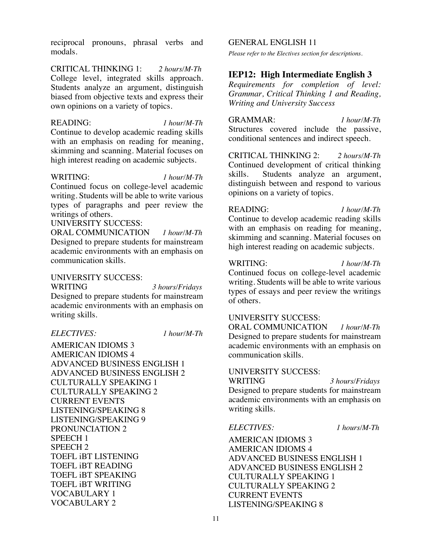reciprocal pronouns, phrasal verbs and modals.

CRITICAL THINKING 1: *2 hours/M-Th* College level, integrated skills approach. Students analyze an argument, distinguish biased from objective texts and express their own opinions on a variety of topics.

READING: *1 hour/M-Th* Continue to develop academic reading skills with an emphasis on reading for meaning, skimming and scanning. Material focuses on high interest reading on academic subjects.

#### WRITING: *1 hour/M-Th*

Continued focus on college-level academic writing. Students will be able to write various types of paragraphs and peer review the writings of others.

### UNIVERSITY SUCCESS:

ORAL COMMUNICATION *1 hour/M-Th* Designed to prepare students for mainstream academic environments with an emphasis on communication skills.

### UNIVERSITY SUCCESS:

WRITING *3 hours/Fridays*

Designed to prepare students for mainstream academic environments with an emphasis on writing skills.

*ELECTIVES: 1 hour/M-Th*

AMERICAN IDIOMS 3 AMERICAN IDIOMS 4 ADVANCED BUSINESS ENGLISH 1 ADVANCED BUSINESS ENGLISH 2 CULTURALLY SPEAKING 1 CULTURALLY SPEAKING 2 CURRENT EVENTS LISTENING/SPEAKING 8 LISTENING/SPEAKING 9 PRONUNCIATION 2 SPEECH 1 SPEECH 2 TOEFL iBT LISTENING TOEFL iBT READING TOEFL iBT SPEAKING TOEFL iBT WRITING VOCABULARY 1 VOCABULARY 2

#### GENERAL ENGLISH 11

*Please refer to the Electives section for descriptions.*

### **IEP12: High Intermediate English 3**

*Requirements for completion of level: Grammar, Critical Thinking 1 and Reading, Writing and University Success*

GRAMMAR: *1 hour/M-Th* Structures covered include the passive, conditional sentences and indirect speech.

CRITICAL THINKING 2: *2 hours/M-Th* Continued development of critical thinking skills. Students analyze an argument, distinguish between and respond to various opinions on a variety of topics.

### READING: *1 hour/M-Th*

Continue to develop academic reading skills with an emphasis on reading for meaning, skimming and scanning. Material focuses on high interest reading on academic subjects.

#### WRITING: *1 hour/M-Th*

of others.

Continued focus on college-level academic writing. Students will be able to write various types of essays and peer review the writings

#### UNIVERSITY SUCCESS:

ORAL COMMUNICATION *1 hour/M-Th* Designed to prepare students for mainstream academic environments with an emphasis on communication skills.

#### UNIVERSITY SUCCESS:

WRITING *3 hours/Fridays* Designed to prepare students for mainstream academic environments with an emphasis on writing skills.

#### *ELECTIVES: 1 hours/M-Th*

AMERICAN IDIOMS 3 AMERICAN IDIOMS 4 ADVANCED BUSINESS ENGLISH 1 ADVANCED BUSINESS ENGLISH 2 CULTURALLY SPEAKING 1 CULTURALLY SPEAKING 2 CURRENT EVENTS LISTENING/SPEAKING 8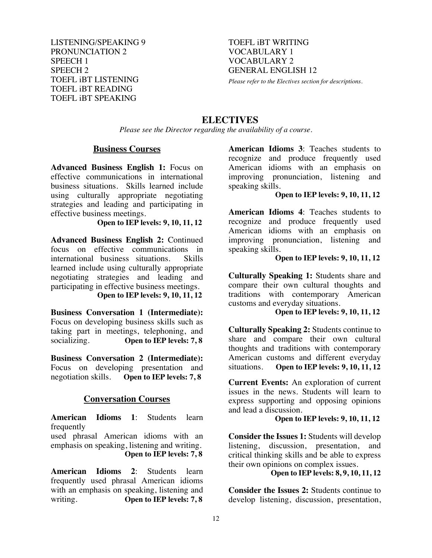LISTENING/SPEAKING 9 PRONUNCIATION 2 SPEECH 1 SPEECH 2 TOEFL iBT LISTENING TOEFL iBT READING TOEFL iBT SPEAKING

TOEFL iBT WRITING VOCABULARY 1 VOCABULARY 2 GENERAL ENGLISH 12

*Please refer to the Electives section for descriptions.*

### **ELECTIVES**

*Please see the Director regarding the availability of a course.*

### **Business Courses**

**Advanced Business English 1:** Focus on effective communications in international business situations. Skills learned include using culturally appropriate negotiating strategies and leading and participating in effective business meetings.

**Open to IEP levels: 9, 10, 11, 12**

**Advanced Business English 2:** Continued focus on effective communications in international business situations. Skills learned include using culturally appropriate negotiating strategies and leading and participating in effective business meetings.

### **Open to IEP levels: 9, 10, 11, 12**

**Business Conversation 1 (Intermediate):** Focus on developing business skills such as taking part in meetings, telephoning, and socializing. **Open to IEP levels: 7, 8** 

**Business Conversation 2 (Intermediate):** Focus on developing presentation and<br>negotiation skills. Open to IEP levels: 7,8 **Open to IEP levels: 7, 8** 

### **Conversation Courses**

**American Idioms 1**: Students learn frequently

used phrasal American idioms with an emphasis on speaking, listening and writing. **Open to IEP levels: 7, 8**

**American Idioms 2**: Students learn frequently used phrasal American idioms with an emphasis on speaking, listening and writing. **Open to IEP levels: 7, 8** 

**American Idioms 3**: Teaches students to recognize and produce frequently used American idioms with an emphasis on improving pronunciation, listening and speaking skills.

### **Open to IEP levels: 9, 10, 11, 12**

**American Idioms 4**: Teaches students to recognize and produce frequently used American idioms with an emphasis on improving pronunciation, listening and speaking skills.

### **Open to IEP levels: 9, 10, 11, 12**

**Culturally Speaking 1:** Students share and compare their own cultural thoughts and traditions with contemporary American customs and everyday situations.

### **Open to IEP levels: 9, 10, 11, 12**

**Culturally Speaking 2:** Students continue to share and compare their own cultural thoughts and traditions with contemporary American customs and different everyday situations. **Open to IEP levels: 9, 10, 11, 12**

**Current Events:** An exploration of current issues in the news. Students will learn to express supporting and opposing opinions and lead a discussion.

### **Open to IEP levels: 9, 10, 11, 12**

**Consider the Issues 1:** Students will develop listening, discussion, presentation, and critical thinking skills and be able to express their own opinions on complex issues.

### **Open to IEP levels: 8, 9, 10, 11, 12**

**Consider the Issues 2:** Students continue to develop listening, discussion, presentation,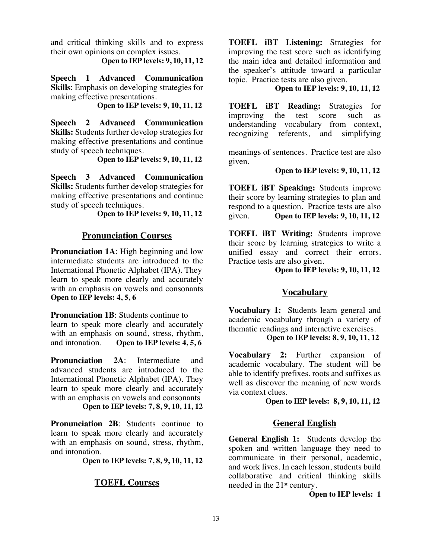and critical thinking skills and to express their own opinions on complex issues.

 **Open to IEP levels: 9, 10, 11, 12**

**Speech 1 Advanced Communication Skills**: Emphasis on developing strategies for making effective presentations.

 **Open to IEP levels: 9, 10, 11, 12**

**Speech 2 Advanced Communication Skills:** Students further develop strategies for making effective presentations and continue study of speech techniques.

**Open to IEP levels: 9, 10, 11, 12**

**Speech 3 Advanced Communication Skills:** Students further develop strategies for making effective presentations and continue study of speech techniques.

**Open to IEP levels: 9, 10, 11, 12**

### **Pronunciation Courses**

**Pronunciation 1A:** High beginning and low intermediate students are introduced to the International Phonetic Alphabet (IPA). They learn to speak more clearly and accurately with an emphasis on vowels and consonants **Open to IEP levels: 4, 5, 6**

**Pronunciation 1B:** Students continue to learn to speak more clearly and accurately with an emphasis on sound, stress, rhythm, and intonation. **Open to IEP levels: 4, 5, 6**

**Pronunciation 2A:** Intermediate and advanced students are introduced to the International Phonetic Alphabet (IPA). They learn to speak more clearly and accurately with an emphasis on vowels and consonants **Open to IEP levels: 7, 8, 9, 10, 11, 12**

**Pronunciation 2B:** Students continue to learn to speak more clearly and accurately with an emphasis on sound, stress, rhythm, and intonation.

**Open to IEP levels: 7, 8, 9, 10, 11, 12**

### **TOEFL Courses**

**TOEFL iBT Listening:** Strategies for improving the test score such as identifying the main idea and detailed information and the speaker's attitude toward a particular topic. Practice tests are also given.

### **Open to IEP levels: 9, 10, 11, 12**

**TOEFL iBT Reading:** Strategies for improving the test score such as understanding vocabulary from context, recognizing referents, and simplifying

meanings of sentences. Practice test are also given.

### **Open to IEP levels: 9, 10, 11, 12**

**TOEFL iBT Speaking:** Students improve their score by learning strategies to plan and respond to a question. Practice tests are also given. **Open to IEP levels: 9, 10, 11, 12**

**TOEFL iBT Writing:** Students improve their score by learning strategies to write a unified essay and correct their errors. Practice tests are also given.

**Open to IEP levels: 9, 10, 11, 12**

### **Vocabulary**

**Vocabulary 1:** Students learn general and academic vocabulary through a variety of thematic readings and interactive exercises.

 **Open to IEP levels: 8, 9, 10, 11, 12**

**Vocabulary 2:** Further expansion of academic vocabulary. The student will be able to identify prefixes, roots and suffixes as well as discover the meaning of new words via context clues.

 **Open to IEP levels: 8, 9, 10, 11, 12**

### **General English**

**General English 1:** Students develop the spoken and written language they need to communicate in their personal, academic, and work lives. In each lesson, students build collaborative and critical thinking skills needed in the 21st century.

**Open to IEP levels: 1**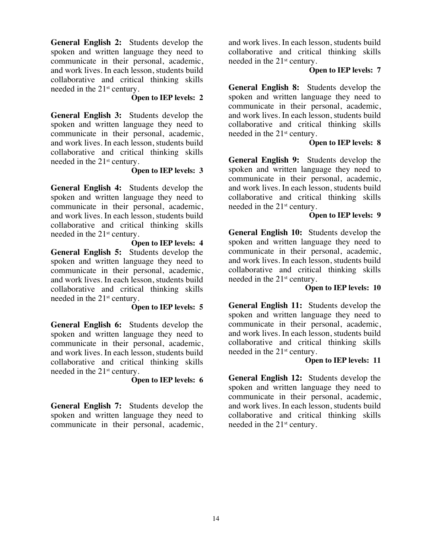**General English 2:** Students develop the spoken and written language they need to communicate in their personal, academic, and work lives. In each lesson, students build collaborative and critical thinking skills needed in the 21st century.

### **Open to IEP levels: 2**

**General English 3:** Students develop the spoken and written language they need to communicate in their personal, academic, and work lives. In each lesson, students build collaborative and critical thinking skills needed in the 21st century.

### **Open to IEP levels: 3**

**General English 4:** Students develop the spoken and written language they need to communicate in their personal, academic, and work lives. In each lesson, students build collaborative and critical thinking skills needed in the 21st century.

**Open to IEP levels: 4 General English 5:** Students develop the spoken and written language they need to communicate in their personal, academic, and work lives. In each lesson, students build collaborative and critical thinking skills needed in the 21st century.

### **Open to IEP levels: 5**

**General English 6:** Students develop the spoken and written language they need to communicate in their personal, academic, and work lives. In each lesson, students build collaborative and critical thinking skills needed in the 21st century.

### **Open to IEP levels: 6**

**General English 7:** Students develop the spoken and written language they need to communicate in their personal, academic, and work lives. In each lesson, students build collaborative and critical thinking skills needed in the 21st century.

### **Open to IEP levels: 7**

**General English 8:** Students develop the spoken and written language they need to communicate in their personal, academic, and work lives. In each lesson, students build collaborative and critical thinking skills needed in the 21st century.

### **Open to IEP levels: 8**

**General English 9:** Students develop the spoken and written language they need to communicate in their personal, academic, and work lives. In each lesson, students build collaborative and critical thinking skills needed in the 21st century.

### **Open to IEP levels: 9**

**General English 10:** Students develop the spoken and written language they need to communicate in their personal, academic, and work lives. In each lesson, students build collaborative and critical thinking skills needed in the 21st century.

### **Open to IEP levels: 10**

**General English 11:** Students develop the spoken and written language they need to communicate in their personal, academic, and work lives. In each lesson, students build collaborative and critical thinking skills needed in the 21st century.

### **Open to IEP levels: 11**

**General English 12:** Students develop the spoken and written language they need to communicate in their personal, academic, and work lives. In each lesson, students build collaborative and critical thinking skills needed in the  $21<sup>st</sup>$  century.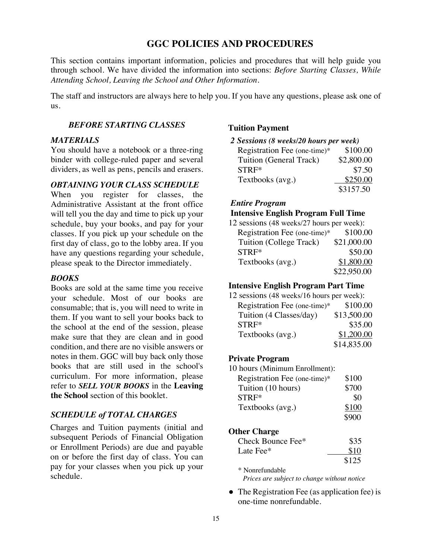### **GGC POLICIES AND PROCEDURES**

This section contains important information, policies and procedures that will help guide you through school. We have divided the information into sections: *Before Starting Classes, While Attending School, Leaving the School and Other Information.*

The staff and instructors are always here to help you. If you have any questions, please ask one of us.

### *BEFORE STARTING CLASSES*

### *MATERIALS*

You should have a notebook or a three-ring binder with college-ruled paper and several dividers, as well as pens, pencils and erasers.

#### *OBTAINING YOUR CLASS SCHEDULE*

When you register for classes, the Administrative Assistant at the front office will tell you the day and time to pick up your schedule, buy your books, and pay for your classes. If you pick up your schedule on the first day of class, go to the lobby area. If you have any questions regarding your schedule, please speak to the Director immediately.

### *BOOKS*

Books are sold at the same time you receive your schedule. Most of our books are consumable; that is, you will need to write in them. If you want to sell your books back to the school at the end of the session, please make sure that they are clean and in good condition, and there are no visible answers or notes in them. GGC will buy back only those books that are still used in the school's curriculum. For more information, please refer to *SELL YOUR BOOKS* in the **Leaving the School** section of this booklet.

### *SCHEDULE of TOTAL CHARGES*

Charges and Tuition payments (initial and subsequent Periods of Financial Obligation or Enrollment Periods) are due and payable on or before the first day of class. You can pay for your classes when you pick up your schedule.

### **Tuition Payment**

*2 Sessions (8 weeks/20 hours per week)*

| Registration Fee (one-time)* | \$100.00   |
|------------------------------|------------|
| Tuition (General Track)      | \$2,800.00 |
| STRF*                        | \$7.50     |
| Textbooks (avg.)             | \$250.00   |
|                              | \$3157.50  |

### *Entire Program*

### **Intensive English Program Full Time**

12 sessions (48 weeks/27 hours per week): Registration Fee (one-time)\* \$100.00 Tuition (College Track) \$21,000.00 STRF\* \$50.00 Textbooks (avg.)  $$1,800.00$ \$22,950.00

# **Intensive English Program Part Time**

| 12 sessions (48 weeks/16 hours per week): |             |
|-------------------------------------------|-------------|
| Registration Fee (one-time)*              | \$100.00    |
| Tuition (4 Classes/day)                   | \$13,500.00 |
| STRF*                                     | \$35.00     |
| Textbooks (avg.)                          | \$1,200.00  |
|                                           | \$14,835.00 |

### **Private Program**

10 hours (Minimum Enrollment):

| Registration Fee (one-time)* | \$100 |
|------------------------------|-------|
| Tuition (10 hours)           | \$700 |
| STRF*                        | \$0   |
| Textbooks (avg.)             | \$100 |
|                              | \$900 |
| <b>Other Charge</b>          |       |
| Check Bounce Fee*            | \$35  |
| Late Fee*                    | \$10  |
|                              | \$125 |
| * Nonrefundable              |       |

*Prices are subject to change without notice*

● The Registration Fee (as application fee) is one-time nonrefundable.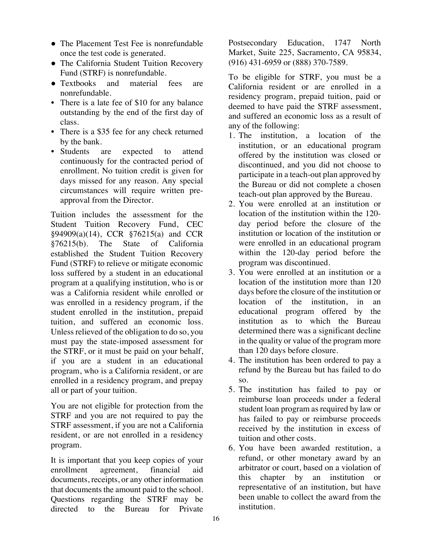- The Placement Test Fee is nonrefundable once the test code is generated.
- The California Student Tuition Recovery Fund (STRF) is nonrefundable.
- Textbooks and material fees are nonrefundable.
- There is a late fee of \$10 for any balance outstanding by the end of the first day of class.
- There is a \$35 fee for any check returned by the bank.
- Students are expected to attend continuously for the contracted period of enrollment. No tuition credit is given for days missed for any reason. Any special circumstances will require written preapproval from the Director.

Tuition includes the assessment for the Student Tuition Recovery Fund, CEC §94909(a)(14), CCR §76215(a) and CCR §76215(b). The State of California established the Student Tuition Recovery Fund (STRF) to relieve or mitigate economic loss suffered by a student in an educational program at a qualifying institution, who is or was a California resident while enrolled or was enrolled in a residency program, if the student enrolled in the institution, prepaid tuition, and suffered an economic loss. Unless relieved of the obligation to do so, you must pay the state-imposed assessment for the STRF, or it must be paid on your behalf, if you are a student in an educational program, who is a California resident, or are enrolled in a residency program, and prepay all or part of your tuition.

You are not eligible for protection from the STRF and you are not required to pay the STRF assessment, if you are not a California resident, or are not enrolled in a residency program.

It is important that you keep copies of your enrollment agreement, financial aid documents, receipts, or any other information that documents the amount paid to the school. Questions regarding the STRF may be directed to the Bureau for Private

Postsecondary Education, 1747 North Market, Suite 225, Sacramento, CA 95834, (916) 431-6959 or (888) 370-7589.

To be eligible for STRF, you must be a California resident or are enrolled in a residency program, prepaid tuition, paid or deemed to have paid the STRF assessment, and suffered an economic loss as a result of any of the following:

- 1. The institution, a location of the institution, or an educational program offered by the institution was closed or discontinued, and you did not choose to participate in a teach-out plan approved by the Bureau or did not complete a chosen teach-out plan approved by the Bureau.
- 2. You were enrolled at an institution or location of the institution within the 120 day period before the closure of the institution or location of the institution or were enrolled in an educational program within the 120-day period before the program was discontinued.
- 3. You were enrolled at an institution or a location of the institution more than 120 days before the closure of the institution or location of the institution, in an educational program offered by the institution as to which the Bureau determined there was a significant decline in the quality or value of the program more than 120 days before closure.
- 4. The institution has been ordered to pay a refund by the Bureau but has failed to do so.
- 5. The institution has failed to pay or reimburse loan proceeds under a federal student loan program as required by law or has failed to pay or reimburse proceeds received by the institution in excess of tuition and other costs.
- 6. You have been awarded restitution, a refund, or other monetary award by an arbitrator or court, based on a violation of this chapter by an institution or representative of an institution, but have been unable to collect the award from the institution.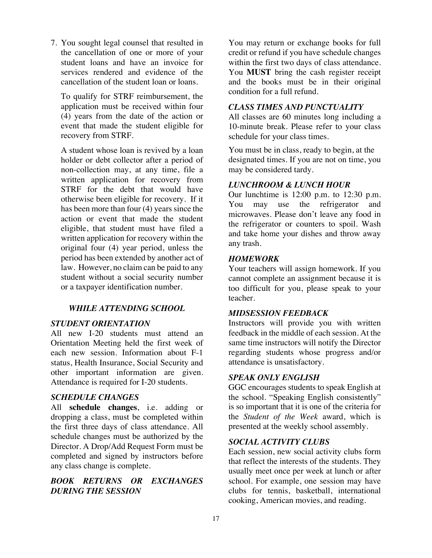7. You sought legal counsel that resulted in the cancellation of one or more of your student loans and have an invoice for services rendered and evidence of the cancellation of the student loan or loans.

To qualify for STRF reimbursement, the application must be received within four (4) years from the date of the action or event that made the student eligible for recovery from STRF.

A student whose loan is revived by a loan holder or debt collector after a period of non-collection may, at any time, file a written application for recovery from STRF for the debt that would have otherwise been eligible for recovery. If it has been more than four (4) years since the action or event that made the student eligible, that student must have filed a written application for recovery within the original four (4) year period, unless the period has been extended by another act of law. However, no claim can be paid to any student without a social security number or a taxpayer identification number.

### *WHILE ATTENDING SCHOOL*

#### *STUDENT ORIENTATION*

All new I-20 students must attend an Orientation Meeting held the first week of each new session. Information about F-1 status, Health Insurance, Social Security and other important information are given. Attendance is required for I-20 students.

### *SCHEDULE CHANGES*

All **schedule changes**, i.e. adding or dropping a class, must be completed within the first three days of class attendance. All schedule changes must be authorized by the Director. A Drop/Add Request Form must be completed and signed by instructors before any class change is complete.

### *BOOK RETURNS OR EXCHANGES DURING THE SESSION*

You may return or exchange books for full credit or refund if you have schedule changes within the first two days of class attendance. You **MUST** bring the cash register receipt and the books must be in their original condition for a full refund.

### *CLASS TIMES AND PUNCTUALITY*

All classes are 60 minutes long including a 10-minute break. Please refer to your class schedule for your class times.

You must be in class, ready to begin, at the designated times. If you are not on time, you may be considered tardy.

### *LUNCHROOM & LUNCH HOUR*

Our lunchtime is 12:00 p.m. to 12:30 p.m. You may use the refrigerator and microwaves. Please don't leave any food in the refrigerator or counters to spoil. Wash and take home your dishes and throw away any trash.

#### *HOMEWORK*

Your teachers will assign homework. If you cannot complete an assignment because it is too difficult for you, please speak to your teacher.

### *MIDSESSION FEEDBACK*

Instructors will provide you with written feedback in the middle of each session. At the same time instructors will notify the Director regarding students whose progress and/or attendance is unsatisfactory.

### *SPEAK ONLY ENGLISH*

GGC encourages students to speak English at the school. "Speaking English consistently" is so important that it is one of the criteria for the *Student of the Week* award, which is presented at the weekly school assembly.

### *SOCIAL ACTIVITY CLUBS*

Each session, new social activity clubs form that reflect the interests of the students. They usually meet once per week at lunch or after school. For example, one session may have clubs for tennis, basketball, international cooking, American movies, and reading.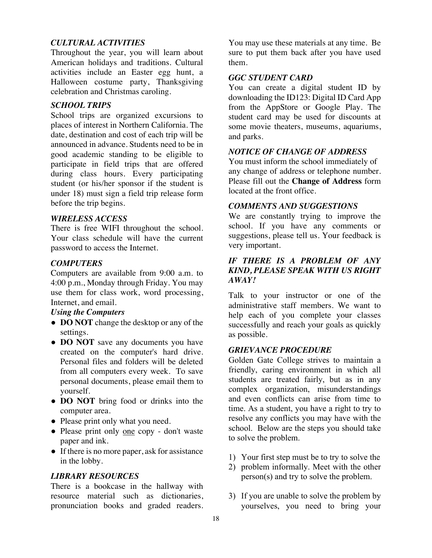### *CULTURAL ACTIVITIES*

Throughout the year, you will learn about American holidays and traditions. Cultural activities include an Easter egg hunt, a Halloween costume party, Thanksgiving celebration and Christmas caroling.

### *SCHOOL TRIPS*

School trips are organized excursions to places of interest in Northern California. The date, destination and cost of each trip will be announced in advance. Students need to be in good academic standing to be eligible to participate in field trips that are offered during class hours. Every participating student (or his/her sponsor if the student is under 18) must sign a field trip release form before the trip begins.

### *WIRELESS ACCESS*

There is free WIFI throughout the school. Your class schedule will have the current password to access the Internet.

### *COMPUTERS*

Computers are available from 9:00 a.m. to 4:00 p.m., Monday through Friday. You may use them for class work, word processing, Internet, and email.

### *Using the Computers*

- **DO NOT** change the desktop or any of the settings.
- **DO NOT** save any documents you have created on the computer's hard drive. Personal files and folders will be deleted from all computers every week. To save personal documents, please email them to yourself.
- **DO NOT** bring food or drinks into the computer area.
- Please print only what you need.
- Please print only one copy don't waste paper and ink.
- If there is no more paper, ask for assistance in the lobby.

### *LIBRARY RESOURCES*

There is a bookcase in the hallway with resource material such as dictionaries, pronunciation books and graded readers.

You may use these materials at any time. Be sure to put them back after you have used them.

### *GGC STUDENT CARD*

You can create a digital student ID by downloading the ID123: Digital ID Card App from the AppStore or Google Play. The student card may be used for discounts at some movie theaters, museums, aquariums, and parks.

### *NOTICE OF CHANGE OF ADDRESS*

You must inform the school immediately of any change of address or telephone number. Please fill out the **Change of Address** form located at the front office.

### *COMMENTS AND SUGGESTIONS*

We are constantly trying to improve the school. If you have any comments or suggestions, please tell us. Your feedback is very important.

### *IF THERE IS A PROBLEM OF ANY KIND, PLEASE SPEAK WITH US RIGHT AWAY!*

Talk to your instructor or one of the administrative staff members. We want to help each of you complete your classes successfully and reach your goals as quickly as possible.

### *GRIEVANCE PROCEDURE*

Golden Gate College strives to maintain a friendly, caring environment in which all students are treated fairly, but as in any complex organization, misunderstandings and even conflicts can arise from time to time. As a student, you have a right to try to resolve any conflicts you may have with the school. Below are the steps you should take to solve the problem.

- 1) Your first step must be to try to solve the
- 2) problem informally. Meet with the other person(s) and try to solve the problem.
- 3) If you are unable to solve the problem by yourselves, you need to bring your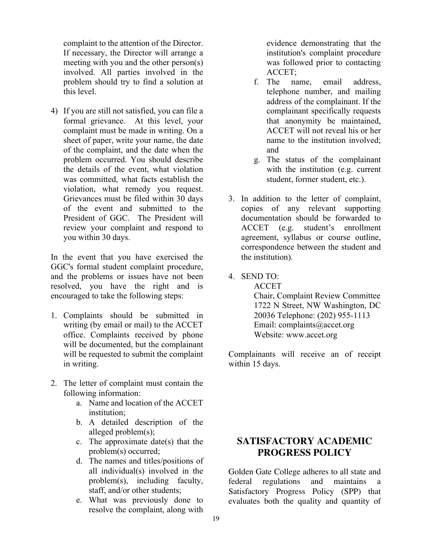complaint to the attention of the Director. If necessary, the Director will arrange a meeting with you and the other person(s) involved. All parties involved in the problem should try to find a solution at this level.

4) If you are still not satisfied, you can file a formal grievance. At this level, your complaint must be made in writing. On a sheet of paper, write your name, the date of the complaint, and the date when the problem occurred. You should describe the details of the event, what violation was committed, what facts establish the violation, what remedy you request. Grievances must be filed within 30 days of the event and submitted to the President of GGC. The President will review your complaint and respond to you within 30 days.

In the event that you have exercised the GGC's formal student complaint procedure, and the problems or issues have not been resolved, you have the right and is encouraged to take the following steps:

- 1. Complaints should be submitted in writing (by email or mail) to the ACCET office. Complaints received by phone will be documented, but the complainant will be requested to submit the complaint in writing.
- 2. The letter of complaint must contain the following information:
	- a. Name and location of the ACCET institution;
	- b. A detailed description of the alleged problem(s);
	- c. The approximate date(s) that the problem(s) occurred;
	- d. The names and titles/positions of all individual(s) involved in the problem(s), including faculty, staff, and/or other students;
	- e. What was previously done to resolve the complaint, along with

evidence demonstrating that the institution's complaint procedure was followed prior to contacting ACCET;

- f. The name, email address, telephone number, and mailing address of the complainant. If the complainant specifically requests that anonymity be maintained, ACCET will not reveal his or her name to the institution involved; and
- g. The status of the complainant with the institution (e.g. current student, former student, etc.).
- 3. In addition to the letter of complaint, copies of any relevant supporting documentation should be forwarded to ACCET (e.g. student's enrollment agreement, syllabus or course outline, correspondence between the student and the institution).
- 4. SEND TO:

ACCET Chair, Complaint Review Committee 1722 N Street, NW Washington, DC 20036 Telephone: (202) 955-1113 Email: complaints@accet.org Website: www.accet.org

Complainants will receive an of receipt within 15 days.

### **SATISFACTORY ACADEMIC PROGRESS POLICY**

Golden Gate College adheres to all state and federal regulations and maintains a Satisfactory Progress Policy (SPP) that evaluates both the quality and quantity of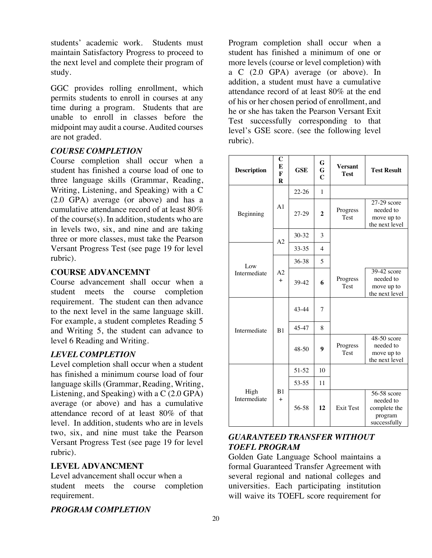students' academic work. Students must maintain Satisfactory Progress to proceed to the next level and complete their program of study.

GGC provides rolling enrollment, which permits students to enroll in courses at any time during a program. Students that are unable to enroll in classes before the midpoint may audit a course. Audited courses are not graded.

### *COURSE COMPLETION*

Course completion shall occur when a student has finished a course load of one to three language skills (Grammar, Reading, Writing, Listening, and Speaking) with a C (2.0 GPA) average (or above) and has a cumulative attendance record of at least 80% of the course(s). In addition, students who are in levels two, six, and nine and are taking three or more classes, must take the Pearson Versant Progress Test (see page 19 for level rubric).

### **COURSE ADVANCEMNT**

Course advancement shall occur when a student meets the course completion requirement. The student can then advance to the next level in the same language skill. For example, a student completes Reading 5 and Writing 5, the student can advance to level 6 Reading and Writing.

### *LEVEL COMPLETION*

Level completion shall occur when a student has finished a minimum course load of four language skills (Grammar, Reading, Writing, Listening, and Speaking) with a C (2.0 GPA) average (or above) and has a cumulative attendance record of at least 80% of that level. In addition, students who are in levels two, six, and nine must take the Pearson Versant Progress Test (see page 19 for level rubric).

### **LEVEL ADVANCMENT**

Level advancement shall occur when a student meets the course completion requirement.

### *PROGRAM COMPLETION*

Program completion shall occur when a student has finished a minimum of one or more levels (course or level completion) with a C (2.0 GPA) average (or above). In addition, a student must have a cumulative attendance record of at least 80% at the end of his or her chosen period of enrollment, and he or she has taken the Pearson Versant Exit Test successfully corresponding to that level's GSE score. (see the following level rubric).

| <b>Description</b>   | C<br>E<br>$\mathbf{F}$<br>R | <b>GSE</b> | G<br>G<br>$\mathbf C$ | <b>Versant</b><br><b>Test</b> | <b>Test Result</b>                                                  |
|----------------------|-----------------------------|------------|-----------------------|-------------------------------|---------------------------------------------------------------------|
|                      |                             | $22 - 26$  | $\mathbf{1}$          |                               |                                                                     |
| Beginning            | A <sub>1</sub>              | 27-29      | $\mathbf{2}$          | Progress<br><b>Test</b>       | 27-29 score<br>needed to<br>move up to<br>the next level            |
|                      | A2                          | 30-32      | 3                     |                               |                                                                     |
|                      |                             | 33-35      | $\overline{4}$        |                               |                                                                     |
| Low                  | A2<br>$+$                   | 36-38      | $\overline{5}$        |                               |                                                                     |
| Intermediate         |                             | 39-42      | 6                     | Progress<br><b>Test</b>       | 39-42 score<br>needed to<br>move up to<br>the next level            |
|                      | B1                          | 43-44      | 7                     |                               |                                                                     |
| Intermediate         |                             | 45-47      | 8                     |                               |                                                                     |
|                      |                             | $48 - 50$  | 9                     | Progress<br><b>Test</b>       | 48-50 score<br>needed to<br>move up to<br>the next level            |
|                      |                             | 51-52      | 10                    |                               |                                                                     |
|                      | B1<br>$+$                   | 53-55      | 11                    |                               |                                                                     |
| High<br>Intermediate |                             | 56-58      | 12                    | <b>Exit Test</b>              | 56-58 score<br>needed to<br>complete the<br>program<br>successfully |

### *GUARANTEED TRANSFER WITHOUT TOEFL PROGRAM*

Golden Gate Language School maintains a formal Guaranteed Transfer Agreement with several regional and national colleges and universities. Each participating institution will waive its TOEFL score requirement for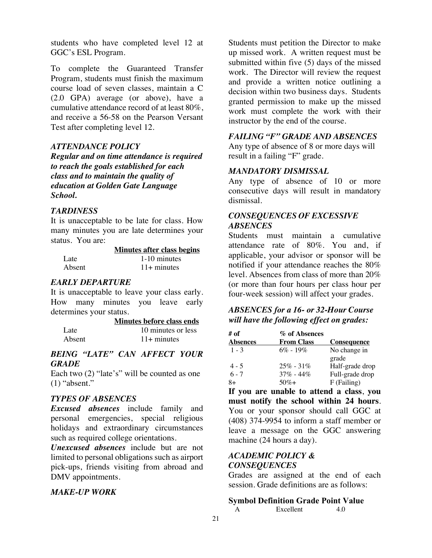students who have completed level 12 at GGC's ESL Program.

To complete the Guaranteed Transfer Program, students must finish the maximum course load of seven classes, maintain a C (2.0 GPA) average (or above), have a cumulative attendance record of at least 80%, and receive a 56-58 on the Pearson Versant Test after completing level 12.

### *ATTENDANCE POLICY*

*Regular and on time attendance is required to reach the goals established for each class and to maintain the quality of education at Golden Gate Language School.*

### *TARDINESS*

It is unacceptable to be late for class. How many minutes you are late determines your status. You are:

|        | <b>Minutes after class begins</b> |
|--------|-----------------------------------|
| Late   | 1-10 minutes                      |
| Absent | $11+$ minutes                     |

### *EARLY DEPARTURE*

It is unacceptable to leave your class early. How many minutes you leave early determines your status.

|        | Minutes before class ends |
|--------|---------------------------|
| Late   | 10 minutes or less        |
| Absent | $11+$ minutes             |

### *BEING "LATE" CAN AFFECT YOUR GRADE*

Each two (2) "late's" will be counted as one  $(1)$  "absent."

### *TYPES OF ABSENCES*

*Excused absences* include family and personal emergencies, special religious holidays and extraordinary circumstances such as required college orientations.

*Unexcused absences* include but are not limited to personal obligations such as airport pick-ups, friends visiting from abroad and DMV appointments.

### *MAKE-UP WORK*

Students must petition the Director to make up missed work. A written request must be submitted within five (5) days of the missed work. The Director will review the request and provide a written notice outlining a decision within two business days. Students granted permission to make up the missed work must complete the work with their instructor by the end of the course.

### *FAILING "F" GRADE AND ABSENCES*

Any type of absence of 8 or more days will result in a failing "F" grade.

### *MANDATORY DISMISSAL*

Any type of absence of 10 or more consecutive days will result in mandatory dismissal.

### *CONSEQUENCES OF EXCESSIVE ABSENCES*

Students must maintain a cumulative attendance rate of 80%. You and, if applicable, your advisor or sponsor will be notified if your attendance reaches the 80% level. Absences from class of more than 20% (or more than four hours per class hour per four-week session) will affect your grades.

### *ABSENCES for a 16- or 32-Hour Course will have the following effect on grades:*

| # of            | % of Absences     |                    |
|-----------------|-------------------|--------------------|
| <b>Absences</b> | <b>From Class</b> | <b>Consequence</b> |
| $1 - 3$         | $6\% - 19\%$      | No change in       |
|                 |                   | grade              |
| $4 - 5$         | $25\% - 31\%$     | Half-grade drop    |
| $6 - 7$         | $37\% - 44\%$     | Full-grade drop    |
| 8+              | $50\% +$          | $F$ (Failing)      |

**If you are unable to attend a class**, **you must notify the school within 24 hours**. You or your sponsor should call GGC at (408) 374-9954 to inform a staff member or leave a message on the GGC answering machine (24 hours a day).

### *ACADEMIC POLICY & CONSEQUENCES*

Grades are assigned at the end of each session. Grade definitions are as follows:

### **Symbol Definition Grade Point Value**

A Excellent 4.0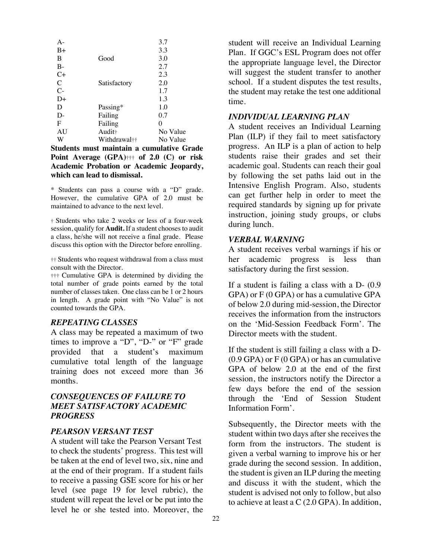| $A -$        |              | 3.7      |
|--------------|--------------|----------|
| $B+$         |              | 3.3      |
| B            | Good         | 3.0      |
| $B -$        |              | 2.7      |
| $C+$         |              | 2.3      |
| $\mathsf{C}$ | Satisfactory | 2.0      |
| $C-$         |              | 1.7      |
| D+           |              | 1.3      |
| D            | Passing*     | 1.0      |
| D-           | Failing      | 0.7      |
| F            | Failing      | 0        |
| AU           | Audit†       | No Value |
| W            | Withdrawal†† | No Value |

**Students must maintain a cumulative Grade Point Average (GPA)**††† **of 2.0 (C) or risk Academic Probation or Academic Jeopardy, which can lead to dismissal.** 

\* Students can pass a course with a "D" grade. However, the cumulative GPA of 2.0 must be maintained to advance to the next level.

† Students who take 2 weeks or less of a four-week session, qualify for **Audit.** If a student chooses to audit a class, he/she will not receive a final grade. Please discuss this option with the Director before enrolling.

†† Students who request withdrawal from a class must consult with the Director.

††† Cumulative GPA is determined by dividing the total number of grade points earned by the total number of classes taken. One class can be 1 or 2 hours in length. A grade point with "No Value" is not counted towards the GPA.

### *REPEATING CLASSES*

A class may be repeated a maximum of two times to improve a "D", "D-" or "F" grade provided that a student's maximum cumulative total length of the language training does not exceed more than 36 months.

### *CONSEQUENCES OF FAILURE TO MEET SATISFACTORY ACADEMIC PROGRESS*

### *PEARSON VERSANT TEST*

A student will take the Pearson Versant Test to check the students' progress. This test will be taken at the end of level two, six, nine and at the end of their program. If a student fails to receive a passing GSE score for his or her level (see page 19 for level rubric), the student will repeat the level or be put into the level he or she tested into. Moreover, the

student will receive an Individual Learning Plan. If GGC's ESL Program does not offer the appropriate language level, the Director will suggest the student transfer to another school. If a student disputes the test results, the student may retake the test one additional time.

### *INDIVIDUAL LEARNING PLAN*

A student receives an Individual Learning Plan (ILP) if they fail to meet satisfactory progress. An ILP is a plan of action to help students raise their grades and set their academic goal. Students can reach their goal by following the set paths laid out in the Intensive English Program. Also, students can get further help in order to meet the required standards by signing up for private instruction, joining study groups, or clubs during lunch.

#### *VERBAL WARNING*

A student receives verbal warnings if his or her academic progress is less than satisfactory during the first session.

If a student is failing a class with a D- (0.9 GPA) or F (0 GPA) or has a cumulative GPA of below 2.0 during mid-session, the Director receives the information from the instructors on the 'Mid-Session Feedback Form'. The Director meets with the student.

If the student is still failing a class with a D- (0.9 GPA) or F (0 GPA) or has an cumulative GPA of below 2.0 at the end of the first session, the instructors notify the Director a few days before the end of the session through the 'End of Session Student Information Form'.

Subsequently, the Director meets with the student within two days after she receives the form from the instructors. The student is given a verbal warning to improve his or her grade during the second session. In addition, the student is given an ILP during the meeting and discuss it with the student, which the student is advised not only to follow, but also to achieve at least a C (2.0 GPA). In addition,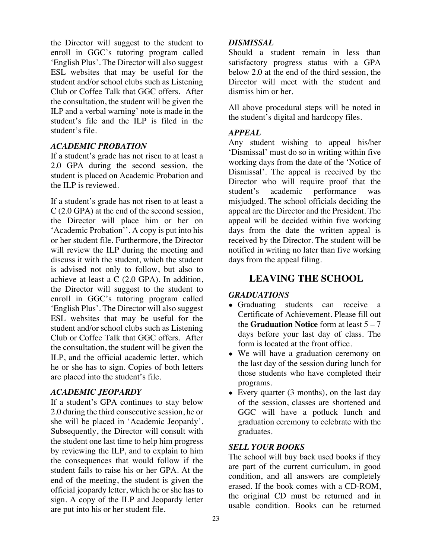the Director will suggest to the student to enroll in GGC's tutoring program called 'English Plus'. The Director will also suggest ESL websites that may be useful for the student and/or school clubs such as Listening Club or Coffee Talk that GGC offers. After the consultation, the student will be given the ILP and a verbal warning' note is made in the student's file and the ILP is filed in the student's file.

### *ACADEMIC PROBATION*

If a student's grade has not risen to at least a 2.0 GPA during the second session, the student is placed on Academic Probation and the ILP is reviewed.

If a student's grade has not risen to at least a C (2.0 GPA) at the end of the second session, the Director will place him or her on 'Academic Probation''. A copy is put into his or her student file. Furthermore, the Director will review the ILP during the meeting and discuss it with the student, which the student is advised not only to follow, but also to achieve at least a C (2.0 GPA). In addition, the Director will suggest to the student to enroll in GGC's tutoring program called 'English Plus'. The Director will also suggest ESL websites that may be useful for the student and/or school clubs such as Listening Club or Coffee Talk that GGC offers. After the consultation, the student will be given the ILP, and the official academic letter, which he or she has to sign. Copies of both letters are placed into the student's file.

### *ACADEMIC JEOPARDY*

If a student's GPA continues to stay below 2.0 during the third consecutive session, he or she will be placed in 'Academic Jeopardy'. Subsequently, the Director will consult with the student one last time to help him progress by reviewing the ILP, and to explain to him the consequences that would follow if the student fails to raise his or her GPA. At the end of the meeting, the student is given the official jeopardy letter, which he or she has to sign. A copy of the ILP and Jeopardy letter are put into his or her student file.

### *DISMISSAL*

Should a student remain in less than satisfactory progress status with a GPA below 2.0 at the end of the third session, the Director will meet with the student and dismiss him or her.

All above procedural steps will be noted in the student's digital and hardcopy files.

### *APPEAL*

Any student wishing to appeal his/her 'Dismissal' must do so in writing within five working days from the date of the 'Notice of Dismissal'. The appeal is received by the Director who will require proof that the student's academic performance was misjudged. The school officials deciding the appeal are the Director and the President. The appeal will be decided within five working days from the date the written appeal is received by the Director. The student will be notified in writing no later than five working days from the appeal filing.

### **LEAVING THE SCHOOL**

### *GRADUATIONS*

- Graduating students can receive a Certificate of Achievement. Please fill out the **Graduation Notice** form at least 5 – 7 days before your last day of class. The form is located at the front office.
- We will have a graduation ceremony on the last day of the session during lunch for those students who have completed their programs.
- Every quarter  $(3 \text{ months})$ , on the last day of the session, classes are shortened and GGC will have a potluck lunch and graduation ceremony to celebrate with the graduates.

### *SELL YOUR BOOKS*

The school will buy back used books if they are part of the current curriculum, in good condition, and all answers are completely erased. If the book comes with a CD-ROM, the original CD must be returned and in usable condition. Books can be returned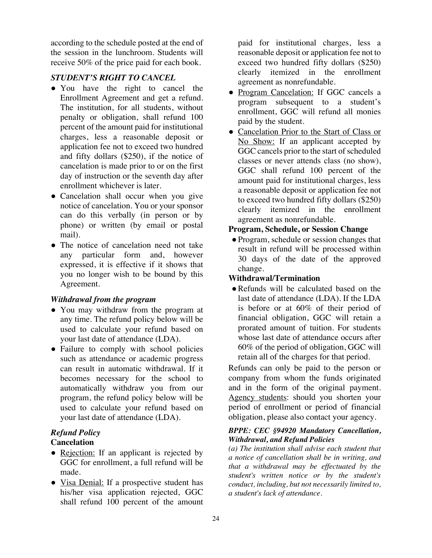according to the schedule posted at the end of the session in the lunchroom. Students will receive 50% of the price paid for each book.

### *STUDENT'S RIGHT TO CANCEL*

- You have the right to cancel the Enrollment Agreement and get a refund. The institution, for all students, without penalty or obligation, shall refund 100 percent of the amount paid for institutional charges, less a reasonable deposit or application fee not to exceed two hundred and fifty dollars (\$250), if the notice of cancelation is made prior to or on the first day of instruction or the seventh day after enrollment whichever is later.
- Cancelation shall occur when you give notice of cancelation. You or your sponsor can do this verbally (in person or by phone) or written (by email or postal mail).
- The notice of cancelation need not take any particular form and, however expressed, it is effective if it shows that you no longer wish to be bound by this Agreement.

### *Withdrawal from the program*

- You may withdraw from the program at any time. The refund policy below will be used to calculate your refund based on your last date of attendance (LDA).
- Failure to comply with school policies such as attendance or academic progress can result in automatic withdrawal. If it becomes necessary for the school to automatically withdraw you from our program, the refund policy below will be used to calculate your refund based on your last date of attendance (LDA).

### *Refund Policy*

### **Cancelation**

- Rejection: If an applicant is rejected by GGC for enrollment, a full refund will be made.
- Visa Denial: If a prospective student has his/her visa application rejected, GGC shall refund 100 percent of the amount

paid for institutional charges, less a reasonable deposit or application fee not to exceed two hundred fifty dollars (\$250) clearly itemized in the enrollment agreement as nonrefundable.

- Program Cancelation: If GGC cancels a program subsequent to a student's enrollment, GGC will refund all monies paid by the student.
- Cancelation Prior to the Start of Class or No Show: If an applicant accepted by GGC cancels prior to the start of scheduled classes or never attends class (no show), GGC shall refund 100 percent of the amount paid for institutional charges, less a reasonable deposit or application fee not to exceed two hundred fifty dollars (\$250) clearly itemized in the enrollment agreement as nonrefundable.

### **Program, Schedule, or Session Change**

●Program, schedule or session changes that result in refund will be processed within 30 days of the date of the approved change.

### **Withdrawal/Termination**

• Refunds will be calculated based on the last date of attendance (LDA). If the LDA is before or at 60% of their period of financial obligation, GGC will retain a prorated amount of tuition. For students whose last date of attendance occurs after 60% of the period of obligation, GGC will retain all of the charges for that period.

Refunds can only be paid to the person or company from whom the funds originated and in the form of the original payment. Agency students: should you shorten your period of enrollment or period of financial obligation, please also contact your agency.

### *BPPE: CEC §94920 Mandatory Cancellation, Withdrawal, and Refund Policies*

*(a) The institution shall advise each student that a notice of cancellation shall be in writing, and that a withdrawal may be effectuated by the student's written notice or by the student's conduct, including, but not necessarily limited to, a student's lack of attendance.*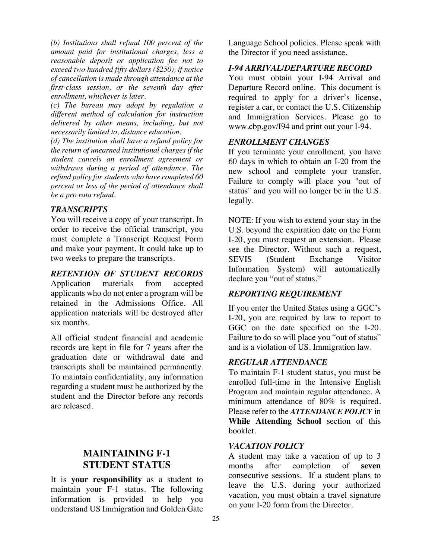*(b) Institutions shall refund 100 percent of the amount paid for institutional charges, less a reasonable deposit or application fee not to exceed two hundred fifty dollars (\$250), if notice of cancellation is made through attendance at the first-class session, or the seventh day after enrollment, whichever is later.* 

*(c) The bureau may adopt by regulation a different method of calculation for instruction delivered by other means, including, but not necessarily limited to, distance education.* 

*(d) The institution shall have a refund policy for the return of unearned institutional charges if the student cancels an enrollment agreement or withdraws during a period of attendance. The refund policy for students who have completed 60 percent or less of the period of attendance shall be a pro rata refund.*

### *TRANSCRIPTS*

You will receive a copy of your transcript. In order to receive the official transcript, you must complete a Transcript Request Form and make your payment. It could take up to two weeks to prepare the transcripts.

*RETENTION OF STUDENT RECORDS* 

Application materials from accepted applicants who do not enter a program will be retained in the Admissions Office. All application materials will be destroyed after six months.

All official student financial and academic records are kept in file for 7 years after the graduation date or withdrawal date and transcripts shall be maintained permanently. To maintain confidentiality, any information regarding a student must be authorized by the student and the Director before any records are released.

### **MAINTAINING F-1 STUDENT STATUS**

It is **your responsibility** as a student to maintain your F-1 status. The following information is provided to help you understand US Immigration and Golden Gate

Language School policies. Please speak with the Director if you need assistance.

### *I-94 ARRIVAL/DEPARTURE RECORD*

You must obtain your I-94 Arrival and Departure Record online. This document is required to apply for a driver's license, register a car, or contact the U.S. Citizenship and Immigration Services. Please go to www.cbp.gov/I94 and print out your I-94.

### *ENROLLMENT CHANGES*

If you terminate your enrollment*,* you have 60 days in which to obtain an I-20 from the new school and complete your transfer. Failure to comply will place you "out of status" and you will no longer be in the U.S. legally.

NOTE: If you wish to extend your stay in the U.S. beyond the expiration date on the Form I-20, you must request an extension. Please see the Director. Without such a request, SEVIS (Student Exchange Visitor Information System) will automatically declare you "out of status."

### *REPORTING REQUIREMENT*

If you enter the United States using a GGC's I-20, you are required by law to report to GGC on the date specified on the I-20. Failure to do so will place you "out of status" and is a violation of US. Immigration law.

### *REGULAR ATTENDANCE*

To maintain F-1 student status, you must be enrolled full-time in the Intensive English Program and maintain regular attendance. A minimum attendance of 80% is required. Please refer to the *ATTENDANCE POLICY* in **While Attending School** section of this booklet.

### *VACATION POLICY*

A student may take a vacation of up to 3 months after completion of **seven** consecutive sessions. If a student plans to leave the U.S. during your authorized vacation, you must obtain a travel signature on your I-20 form from the Director.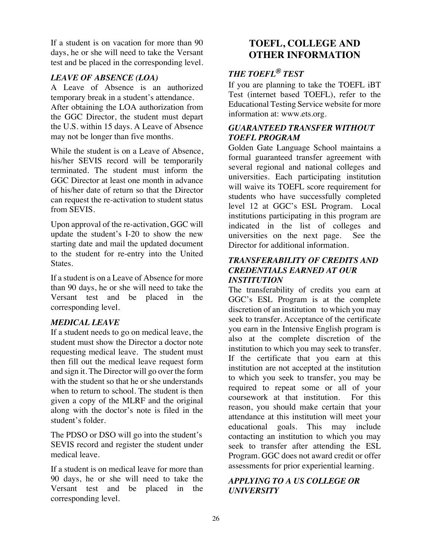If a student is on vacation for more than 90 days, he or she will need to take the Versant test and be placed in the corresponding level.

### *LEAVE OF ABSENCE (LOA)*

A Leave of Absence is an authorized temporary break in a student's attendance. After obtaining the LOA authorization from the GGC Director, the student must depart the U.S. within 15 days. A Leave of Absence may not be longer than five months.

While the student is on a Leave of Absence, his/her SEVIS record will be temporarily terminated. The student must inform the GGC Director at least one month in advance of his/her date of return so that the Director can request the re-activation to student status from SEVIS.

Upon approval of the re-activation, GGC will update the student's I-20 to show the new starting date and mail the updated document to the student for re-entry into the United States.

If a student is on a Leave of Absence for more than 90 days, he or she will need to take the Versant test and be placed in the corresponding level.

### *MEDICAL LEAVE*

If a student needs to go on medical leave, the student must show the Director a doctor note requesting medical leave. The student must then fill out the medical leave request form and sign it. The Director will go over the form with the student so that he or she understands when to return to school. The student is then given a copy of the MLRF and the original along with the doctor's note is filed in the student's folder.

The PDSO or DSO will go into the student's SEVIS record and register the student under medical leave.

If a student is on medical leave for more than 90 days, he or she will need to take the Versant test and be placed in the corresponding level.

### **TOEFL, COLLEGE AND OTHER INFORMATION**

### *THE TOEFL® TEST*

If you are planning to take the TOEFL iBT Test (internet based TOEFL), refer to the Educational Testing Service website for more information at: www.ets.org.

### *GUARANTEED TRANSFER WITHOUT TOEFL PROGRAM*

Golden Gate Language School maintains a formal guaranteed transfer agreement with several regional and national colleges and universities. Each participating institution will waive its TOEFL score requirement for students who have successfully completed level 12 at GGC's ESL Program. Local institutions participating in this program are indicated in the list of colleges and universities on the next page. See the Director for additional information.

### *TRANSFERABILITY OF CREDITS AND CREDENTIALS EARNED AT OUR INSTITUTION*

The transferability of credits you earn at GGC's ESL Program is at the complete discretion of an institution to which you may seek to transfer. Acceptance of the certificate you earn in the Intensive English program is also at the complete discretion of the institution to which you may seek to transfer. If the certificate that you earn at this institution are not accepted at the institution to which you seek to transfer, you may be required to repeat some or all of your coursework at that institution. For this reason, you should make certain that your attendance at this institution will meet your educational goals. This may include contacting an institution to which you may seek to transfer after attending the ESL Program. GGC does not award credit or offer assessments for prior experiential learning.

### *APPLYING TO A US COLLEGE OR UNIVERSITY*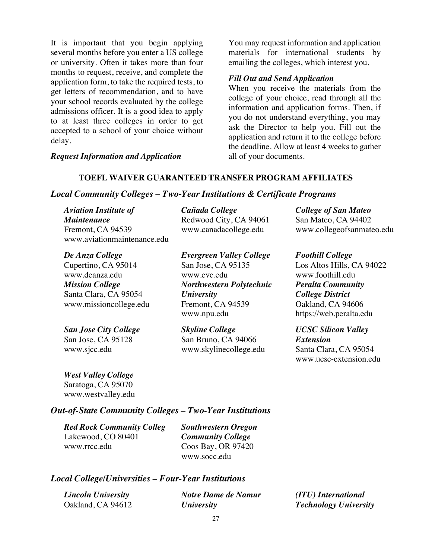It is important that you begin applying several months before you enter a US college or university. Often it takes more than four months to request, receive, and complete the application form, to take the required tests, to get letters of recommendation, and to have your school records evaluated by the college admissions officer. It is a good idea to apply to at least three colleges in order to get accepted to a school of your choice without delay.

*Request Information and Application*

You may request information and application materials for international students by emailing the colleges, which interest you.

### *Fill Out and Send Application*

When you receive the materials from the college of your choice, read through all the information and application forms. Then, if you do not understand everything, you may ask the Director to help you. Fill out the application and return it to the college before the deadline. Allow at least 4 weeks to gather all of your documents.

### **TOEFL WAIVER GUARANTEED TRANSFER PROGRAM AFFILIATES**

### *Local Community Colleges – Two-Year Institutions & Certificate Programs*

| <b>Aviation Institute of</b> | Cañada College         | <b>College of San Mateo</b> |
|------------------------------|------------------------|-----------------------------|
| <i>Maintenance</i>           | Redwood City, CA 94061 | San Mateo, CA 94402         |
| Fremont, CA 94539            | www.canadacollege.edu  | www.collegeofsanmateo.edu   |
| www.aviationmaintenance.edu  |                        |                             |

*De Anza College* Cupertino, CA 95014 www.deanza.edu *Mission College* Santa Clara, CA 95054 www.missioncollege.edu

*San Jose City College* San Jose, CA 95128 www.sjcc.edu

*Evergreen Valley College* San Jose, CA 95135 www.evc.edu *Northwestern Polytechnic University* Fremont, CA 94539 www.npu.edu

*Skyline College* San Bruno, CA 94066 www.skylinecollege.edu *Foothill College* Los Altos Hills, CA 94022 www.foothill.edu *Peralta Community College District* Oakland, CA 94606 https://web.peralta.edu

*UCSC Silicon Valley Extension* Santa Clara, CA 95054 www.ucsc-extension.edu

*West Valley College* Saratoga, CA 95070 www.westvalley.edu

### *Out-of-State Community Colleges – Two-Year Institutions*

*Red Rock Community Colleg* Lakewood, CO 80401 www.rrcc.edu

*Southwestern Oregon Community College* Coos Bay, OR 97420 www.socc.edu

### *Local College/Universities – Four-Year Institutions*

| Lincoln University | <b>Notre Dame de Namur</b> |
|--------------------|----------------------------|
| Oakland, CA 94612  | <i>University</i>          |

*(ITU) International Technology University*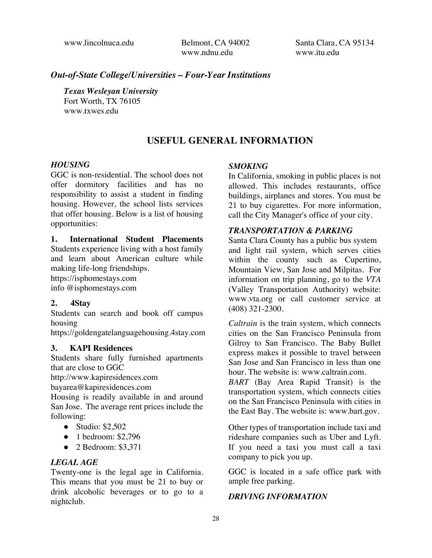www.lincolnuca.edu Belmont, CA 94002 www.ndnu.edu

Santa Clara, CA 95134 www.itu.edu

### *Out-of-State College/Universities – Four-Year Institutions*

*Texas Wesleyan University*  Fort Worth, TX 76105 www.txwes.edu

### **USEFUL GENERAL INFORMATION**

### *HOUSING*

GGC is non-residential. The school does not offer dormitory facilities and has no responsibility to assist a student in finding housing. However, the school lists services that offer housing. Below is a list of housing opportunities:

**1. International Student Placements** Students experience living with a host family and learn about American culture while making life-long friendships.

https://isphomestays.com info @isphomestays.com

### **2. 4Stay**

Students can search and book off campus housing

https://goldengatelanguagehousing.4stay.com

#### **3. KAPI Residences**

Students share fully furnished apartments that are close to GGC

http://www.kapiresidences.com

bayarea@kapiresidences.com

Housing is readily available in and around San Jose. The average rent prices include the following:

- Studio: \$2,502
- 1 bedroom: \$2,796
- 2 Bedroom: \$3,371

### *LEGAL AGE*

Twenty-one is the legal age in California. This means that you must be 21 to buy or drink alcoholic beverages or to go to a nightclub.

### *SMOKING*

In California, smoking in public places is not allowed. This includes restaurants, office buildings, airplanes and stores. You must be 21 to buy cigarettes. For more information, call the City Manager's office of your city.

### *TRANSPORTATION & PARKING*

Santa Clara County has a public bus system and light rail system, which serves cities within the county such as Cupertino, Mountain View, San Jose and Milpitas. For information on trip planning, go to the *VTA* (Valley Transportation Authority) website: www.vta.org or call customer service at (408) 321-2300.

*Caltrain* is the train system, which connects cities on the San Francisco Peninsula from Gilroy to San Francisco. The Baby Bullet express makes it possible to travel between San Jose and San Francisco in less than one hour. The website is: www.caltrain.com.

*BART* (Bay Area Rapid Transit) is the transportation system, which connects cities on the San Francisco Peninsula with cities in the East Bay. The website is: www.bart.gov.

Other types of transportation include taxi and rideshare companies such as Uber and Lyft. If you need a taxi you must call a taxi company to pick you up.

GGC is located in a safe office park with ample free parking.

### *DRIVING INFORMATION*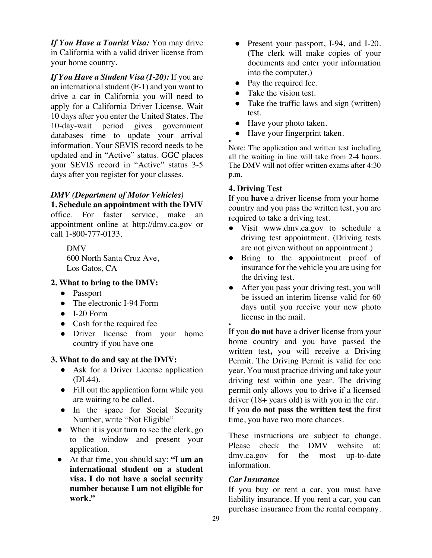*If You Have a Tourist Visa:* You may drive in California with a valid driver license from your home country.

*If You Have a Student Visa (I-20):* If you are an international student (F-1) and you want to drive a car in California you will need to apply for a California Driver License. Wait 10 days after you enter the United States. The 10-day-wait period gives government databases time to update your arrival information. Your SEVIS record needs to be updated and in "Active" status. GGC places your SEVIS record in "Active" status 3-5 days after you register for your classes.

### *DMV (Department of Motor Vehicles)*

**1. Schedule an appointment with the DMV** office. For faster service, make an appointment online at http://dmv.ca.gov or call 1-800-777-0133.

> DMV 600 North Santa Cruz Ave, Los Gatos, CA

### **2. What to bring to the DMV:**

- Passport
- The electronic I-94 Form
- $\bullet$  I-20 Form
- Cash for the required fee
- Driver license from your home country if you have one

### **3. What to do and say at the DMV:**

- Ask for a Driver License application (DL44).
- Fill out the application form while you are waiting to be called.
- In the space for Social Security Number, write "Not Eligible"
- When it is your turn to see the clerk, go to the window and present your application.
- At that time, you should say: **"I am an international student on a student visa. I do not have a social security number because I am not eligible for work."**
- Present your passport, I-94, and I-20. (The clerk will make copies of your documents and enter your information into the computer.)
- Pay the required fee.
- Take the vision test.
- Take the traffic laws and sign (written) test.
- Have your photo taken.
- Have your fingerprint taken.

● Note: The application and written test including all the waiting in line will take from 2-4 hours. The DMV will not offer written exams after 4:30 p.m.

### **4. Driving Test**

If you **have** a driver license from your home country and you pass the written test, you are required to take a driving test.

- Visit www.dmv.ca.gov to schedule a driving test appointment. (Driving tests are not given without an appointment.)
- Bring to the appointment proof of insurance for the vehicle you are using for the driving test.
- After you pass your driving test, you will be issued an interim license valid for 60 days until you receive your new photo license in the mail.

● If you **do not** have a driver license from your home country and you have passed the written test**,** you will receive a Driving Permit. The Driving Permit is valid for one year. You must practice driving and take your driving test within one year. The driving permit only allows you to drive if a licensed driver (18+ years old) is with you in the car. If you **do not pass the written test** the first time, you have two more chances.

These instructions are subject to change. Please check the DMV website at: dmv.ca.gov for the most up-to-date information.

### *Car Insurance*

If you buy or rent a car, you must have liability insurance. If you rent a car, you can purchase insurance from the rental company.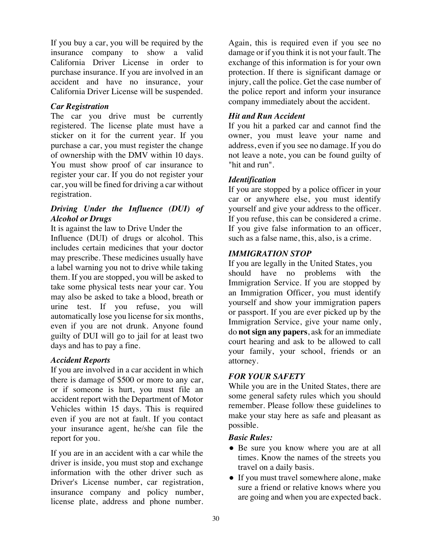If you buy a car, you will be required by the insurance company to show a valid California Driver License in order to purchase insurance. If you are involved in an accident and have no insurance, your California Driver License will be suspended.

### *Car Registration*

The car you drive must be currently registered. The license plate must have a sticker on it for the current year. If you purchase a car, you must register the change of ownership with the DMV within 10 days. You must show proof of car insurance to register your car. If you do not register your car, you will be fined for driving a car without registration.

### *Driving Under the Influence (DUI) of Alcohol or Drugs*

It is against the law to Drive Under the

Influence (DUI) of drugs or alcohol. This includes certain medicines that your doctor may prescribe. These medicines usually have a label warning you not to drive while taking them. If you are stopped, you will be asked to take some physical tests near your car. You may also be asked to take a blood, breath or urine test. If you refuse, you will automatically lose you license for six months, even if you are not drunk. Anyone found guilty of DUI will go to jail for at least two days and has to pay a fine.

### *Accident Reports*

If you are involved in a car accident in which there is damage of \$500 or more to any car, or if someone is hurt, you must file an accident report with the Department of Motor Vehicles within 15 days. This is required even if you are not at fault. If you contact your insurance agent, he/she can file the report for you.

If you are in an accident with a car while the driver is inside, you must stop and exchange information with the other driver such as Driver's License number, car registration, insurance company and policy number, license plate, address and phone number.

Again, this is required even if you see no damage or if you think it is not your fault. The exchange of this information is for your own protection. If there is significant damage or injury, call the police. Get the case number of the police report and inform your insurance company immediately about the accident.

### *Hit and Run Accident*

If you hit a parked car and cannot find the owner, you must leave your name and address, even if you see no damage. If you do not leave a note, you can be found guilty of "hit and run".

### *Identification*

If you are stopped by a police officer in your car or anywhere else, you must identify yourself and give your address to the officer. If you refuse, this can be considered a crime. If you give false information to an officer, such as a false name, this, also, is a crime.

### *IMMIGRATION STOP*

If you are legally in the United States, you should have no problems with the Immigration Service. If you are stopped by an Immigration Officer, you must identify yourself and show your immigration papers or passport. If you are ever picked up by the Immigration Service, give your name only, do **not sign any papers**, ask for an immediate court hearing and ask to be allowed to call your family, your school, friends or an attorney.

### *FOR YOUR SAFETY*

While you are in the United States, there are some general safety rules which you should remember. Please follow these guidelines to make your stay here as safe and pleasant as possible.

### *Basic Rules:*

- Be sure you know where you are at all times. Know the names of the streets you travel on a daily basis.
- If you must travel somewhere alone, make sure a friend or relative knows where you are going and when you are expected back.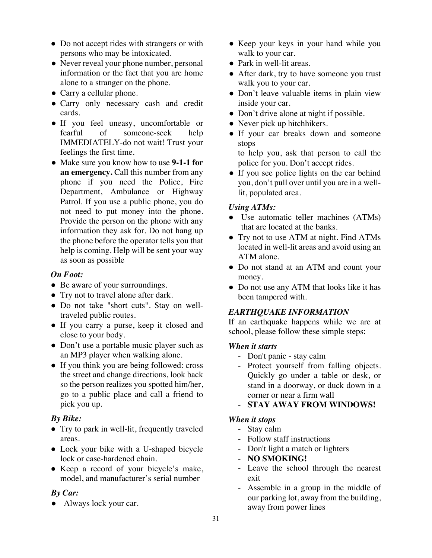- Do not accept rides with strangers or with persons who may be intoxicated.
- Never reveal your phone number, personal information or the fact that you are home alone to a stranger on the phone.
- Carry a cellular phone.
- Carry only necessary cash and credit cards.
- If you feel uneasy, uncomfortable or fearful of someone-seek help IMMEDIATELY-do not wait! Trust your feelings the first time.
- Make sure you know how to use **9-1-1 for an emergency.** Call this number from any phone if you need the Police, Fire Department, Ambulance or Highway Patrol. If you use a public phone, you do not need to put money into the phone. Provide the person on the phone with any information they ask for. Do not hang up the phone before the operator tells you that help is coming. Help will be sent your way as soon as possible

### *On Foot:*

- Be aware of your surroundings.
- Try not to travel alone after dark.
- Do not take "short cuts". Stay on welltraveled public routes.
- If you carry a purse, keep it closed and close to your body.
- Don't use a portable music player such as an MP3 player when walking alone.
- If you think you are being followed: cross the street and change directions, look back so the person realizes you spotted him/her, go to a public place and call a friend to pick you up.

### *By Bike:*

- Try to park in well-lit, frequently traveled areas.
- Lock your bike with a U-shaped bicycle lock or case-hardened chain.
- Keep a record of your bicycle's make, model, and manufacturer's serial number

### *By Car:*

• Always lock your car.

- Keep your keys in your hand while you walk to your car.
- Park in well-lit areas.
- After dark, try to have someone you trust walk you to your car.
- Don't leave valuable items in plain view inside your car.
- Don't drive alone at night if possible.
- Never pick up hitchhikers.
- If your car breaks down and someone stops

to help you, ask that person to call the police for you. Don't accept rides.

• If you see police lights on the car behind you, don't pull over until you are in a welllit, populated area.

### *Using ATMs:*

- Use automatic teller machines (ATMs) that are located at the banks.
- Try not to use ATM at night. Find ATMs located in well-lit areas and avoid using an ATM alone.
- Do not stand at an ATM and count your money.
- Do not use any ATM that looks like it has been tampered with.

### *EARTHQUAKE INFORMATION*

If an earthquake happens while we are at school, please follow these simple steps:

### *When it starts*

- Don't panic stay calm
- Protect yourself from falling objects. Quickly go under a table or desk, or stand in a doorway, or duck down in a corner or near a firm wall
- **STAY AWAY FROM WINDOWS!**

### *When it stops*

- Stay calm
- Follow staff instructions
- Don't light a match or lighters
- **NO SMOKING!**
- Leave the school through the nearest exit
- Assemble in a group in the middle of our parking lot, away from the building, away from power lines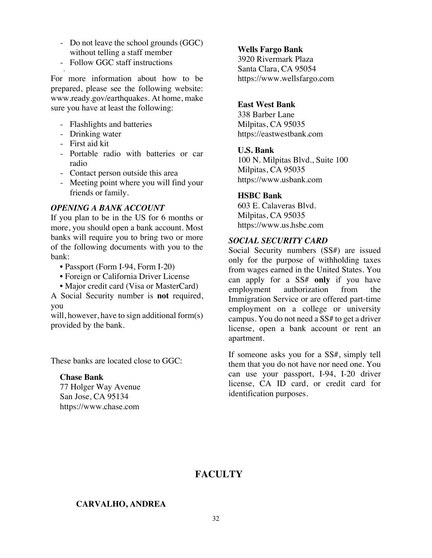- Do not leave the school grounds (GGC) without telling a staff member
- Follow GGC staff instructions

For more information about how to be prepared, please see the following website: www.ready.gov/earthquakes. At home, make sure you have at least the following:

- Flashlights and batteries
- Drinking water
- First aid kit

-

- Portable radio with batteries or car radio
- Contact person outside this area
- Meeting point where you will find your friends or family.

### *OPENING A BANK ACCOUNT*

If you plan to be in the US for 6 months or more, you should open a bank account. Most banks will require you to bring two or more of the following documents with you to the bank:

- Passport (Form I-94, Form I-20)
- Foreign or California Driver License
- Major credit card (Visa or MasterCard)

A Social Security number is **not** required, you

will, however, have to sign additional form(s) provided by the bank.

These banks are located close to GGC:

### **Chase Bank**

77 Holger Way Avenue San Jose, CA 95134 https://www.chase.com

### **Wells Fargo Bank**

3920 Rivermark Plaza Santa Clara, CA 95054 https://www.wellsfargo.com

### **East West Bank**

338 Barber Lane Milpitas, CA 95035 https://eastwestbank.com

### **U.S. Bank**

100 N. Milpitas Blvd., Suite 100 Milpitas, CA 95035 https://www.usbank.com

### **HSBC Bank**

603 E. Calaveras Blvd. Milpitas, CA 95035 https://www.us.hsbc.com

### *SOCIAL SECURITY CARD*

Social Security numbers (SS#) are issued only for the purpose of withholding taxes from wages earned in the United States. You can apply for a SS# **only** if you have employment authorization from the Immigration Service or are offered part-time employment on a college or university campus. You do not need a SS# to get a driver license, open a bank account or rent an apartment.

If someone asks you for a SS#, simply tell them that you do not have nor need one. You can use your passport, I-94, I-20 driver license, CA ID card, or credit card for identification purposes.

### **FACULTY**

### **CARVALHO, ANDREA**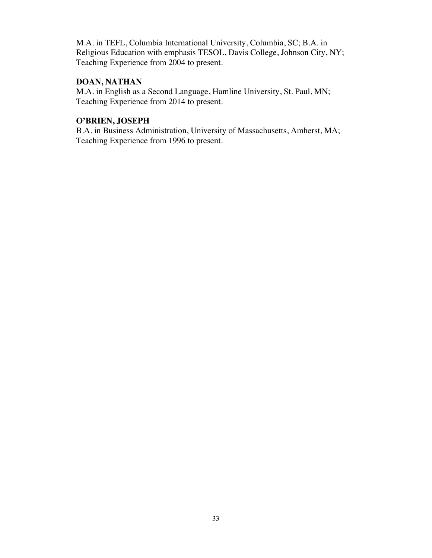M.A. in TEFL, Columbia International University, Columbia, SC; B.A. in Religious Education with emphasis TESOL, Davis College, Johnson City, NY; Teaching Experience from 2004 to present.

### **DOAN, NATHAN**

M.A. in English as a Second Language, Hamline University, St. Paul, MN; Teaching Experience from 2014 to present.

### **O'BRIEN, JOSEPH**

B.A. in Business Administration, University of Massachusetts, Amherst, MA; Teaching Experience from 1996 to present.